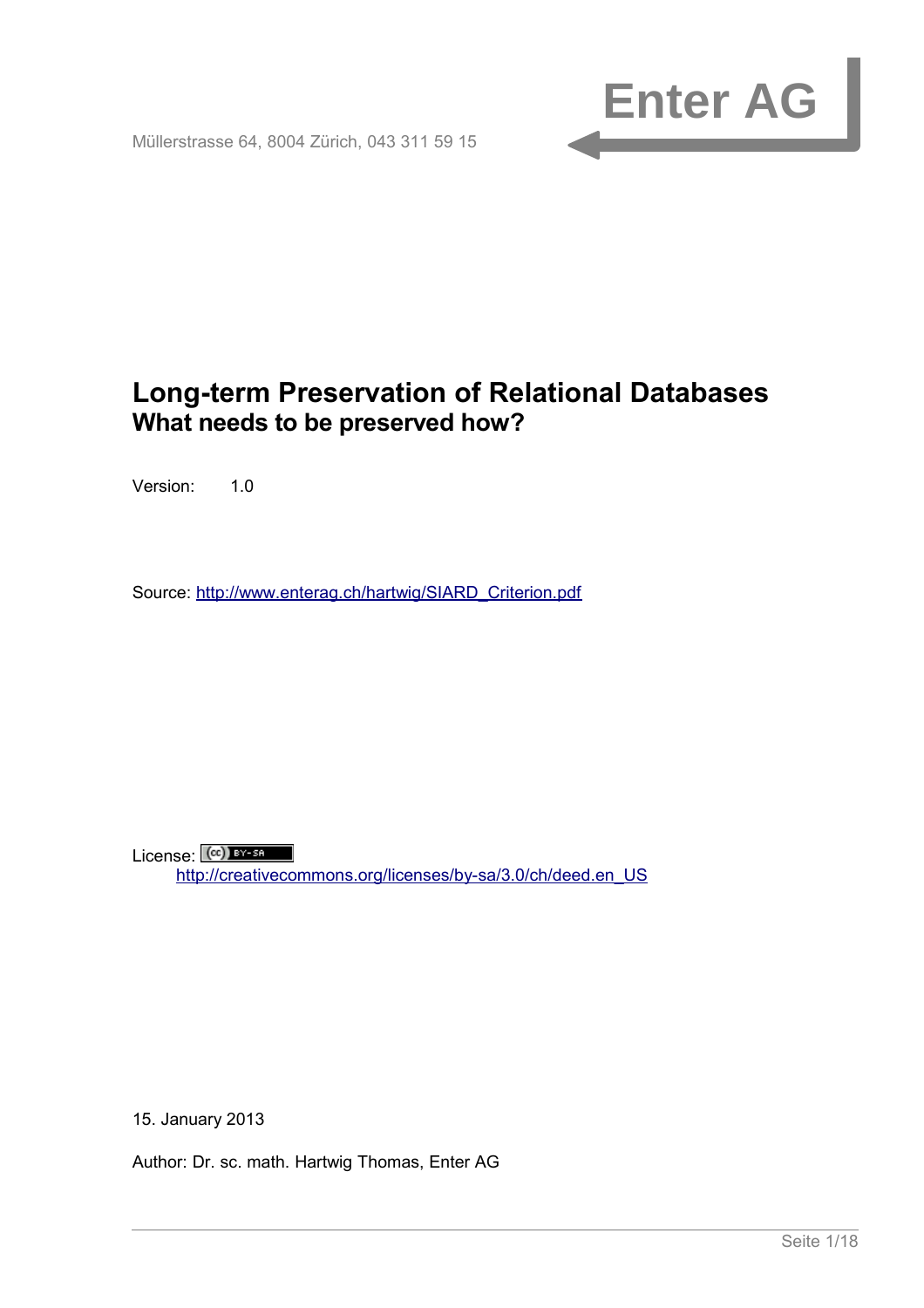

Müllerstrasse 64, 8004 Zürich, 043 311 59 15

# <span id="page-0-1"></span><span id="page-0-0"></span>**Long-term Preservation of Relational Databases What needs to be preserved how?**

Version: 1.0

Source: [http://www.enterag.ch/hartwig/SIARD\\_Criterion.pdf](http://www.enterag.ch/hartwig/SIARD_Criterion.pdf)

 $License:$   $(c)$  BY-SA [http://creativecommons.org/licenses/by-sa/3.0/ch/deed.en\\_US](http://creativecommons.org/licenses/by-sa/3.0/ch/deed.en_US)

15. January 2013

<span id="page-0-2"></span>Author: Dr. sc. math. Hartwig Thomas, Enter AG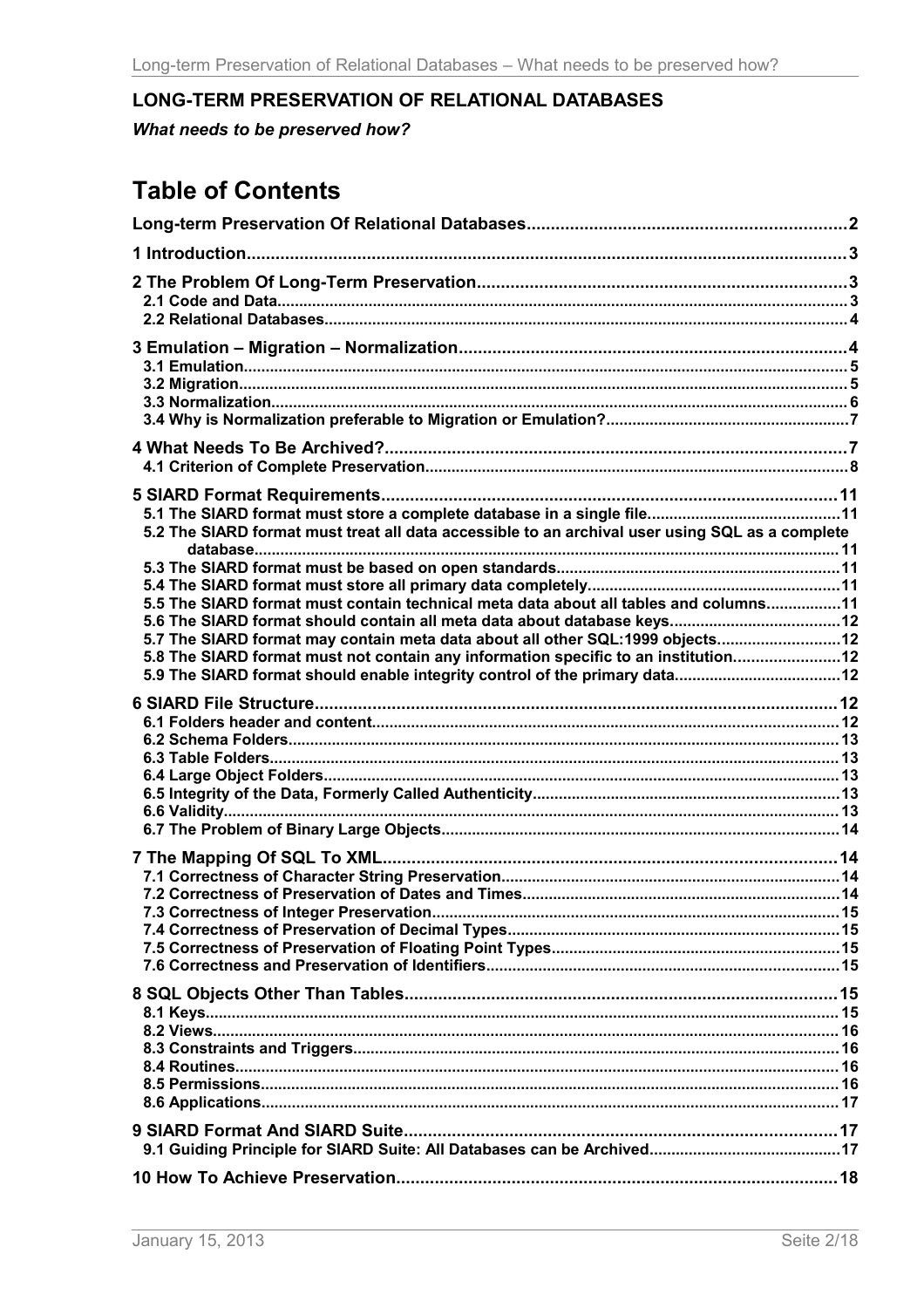# <span id="page-1-0"></span>LONG-TERM PRESERVATION OF RELATIONAL DATABASES

What needs to be preserved how?

# **Table of Contents**

| 5.2 The SIARD format must treat all data accessible to an archival user using SQL as a complete                                                                                                                                                              |  |
|--------------------------------------------------------------------------------------------------------------------------------------------------------------------------------------------------------------------------------------------------------------|--|
| 5.5 The SIARD format must contain technical meta data about all tables and columns11<br>5.7 The SIARD format may contain meta data about all other SQL:1999 objects 12<br>5.8 The SIARD format must not contain any information specific to an institution12 |  |
|                                                                                                                                                                                                                                                              |  |
|                                                                                                                                                                                                                                                              |  |
|                                                                                                                                                                                                                                                              |  |
|                                                                                                                                                                                                                                                              |  |
|                                                                                                                                                                                                                                                              |  |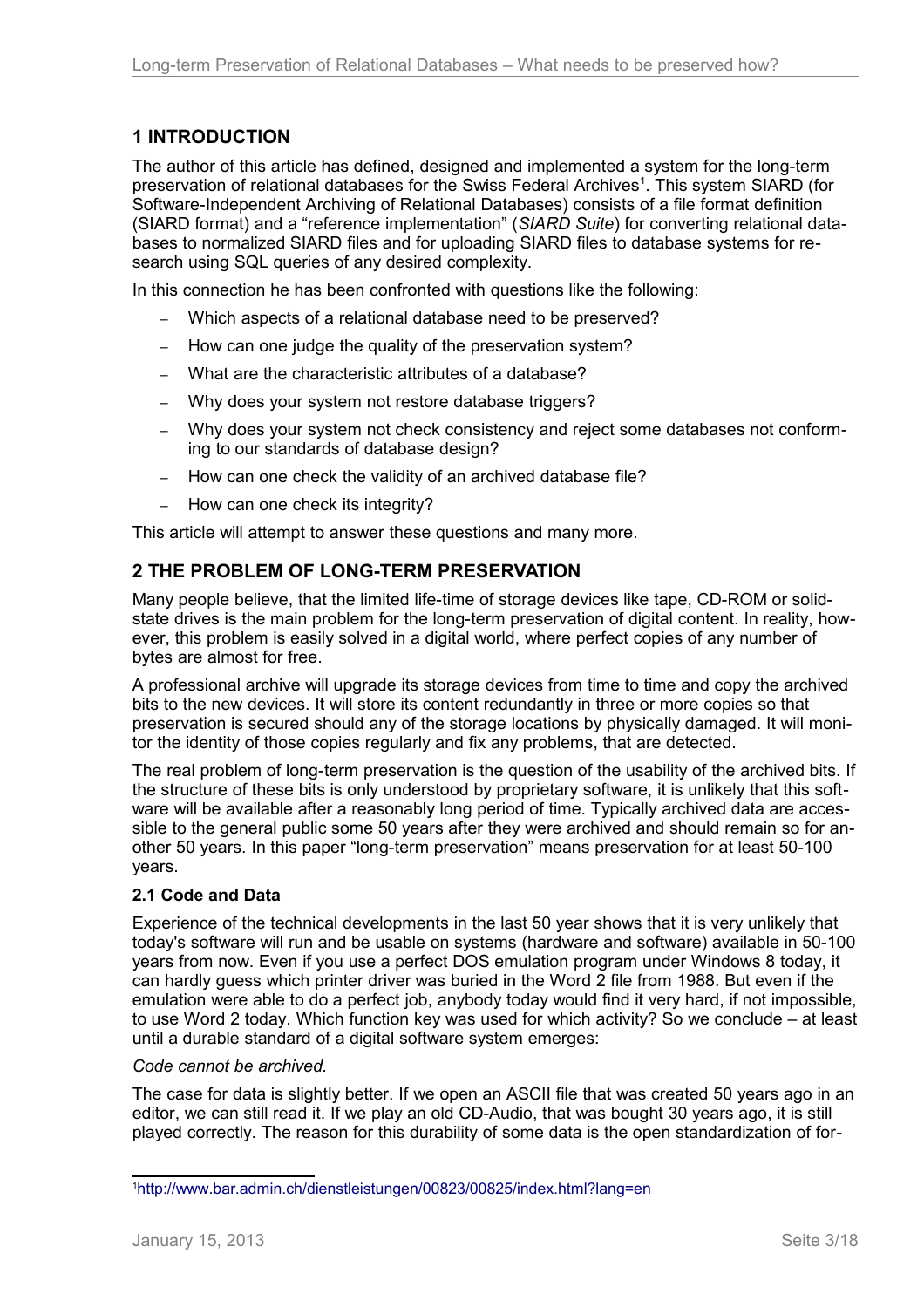# <span id="page-2-2"></span>**1 INTRODUCTION**

The author of this article has defined, designed and implemented a system for the long-term preservation of relational databases for the Swiss Federal Archives<sup>[1](#page-2-3)</sup>. This system SIARD (for Software-Independent Archiving of Relational Databases) consists of a file format definition (SIARD format) and a "reference implementation" (*SIARD Suite*) for converting relational databases to normalized SIARD files and for uploading SIARD files to database systems for research using SQL queries of any desired complexity.

In this connection he has been confronted with questions like the following:

- Which aspects of a relational database need to be preserved?
- How can one judge the quality of the preservation system?
- What are the characteristic attributes of a database?
- Why does your system not restore database triggers?
- Why does your system not check consistency and reject some databases not conforming to our standards of database design?
- How can one check the validity of an archived database file?
- How can one check its integrity?

This article will attempt to answer these questions and many more.

# <span id="page-2-1"></span>**2 THE PROBLEM OF LONG-TERM PRESERVATION**

Many people believe, that the limited life-time of storage devices like tape, CD-ROM or solidstate drives is the main problem for the long-term preservation of digital content. In reality, however, this problem is easily solved in a digital world, where perfect copies of any number of bytes are almost for free.

A professional archive will upgrade its storage devices from time to time and copy the archived bits to the new devices. It will store its content redundantly in three or more copies so that preservation is secured should any of the storage locations by physically damaged. It will monitor the identity of those copies regularly and fix any problems, that are detected.

The real problem of long-term preservation is the question of the usability of the archived bits. If the structure of these bits is only understood by proprietary software, it is unlikely that this software will be available after a reasonably long period of time. Typically archived data are accessible to the general public some 50 years after they were archived and should remain so for another 50 years. In this paper "long-term preservation" means preservation for at least 50-100 years.

## <span id="page-2-0"></span>**2.1 Code and Data**

Experience of the technical developments in the last 50 year shows that it is very unlikely that today's software will run and be usable on systems (hardware and software) available in 50-100 years from now. Even if you use a perfect DOS emulation program under Windows 8 today, it can hardly guess which printer driver was buried in the Word 2 file from 1988. But even if the emulation were able to do a perfect job, anybody today would find it very hard, if not impossible, to use Word 2 today. Which function key was used for which activity? So we conclude – at least until a durable standard of a digital software system emerges:

#### *Code cannot be archived.*

The case for data is slightly better. If we open an ASCII file that was created 50 years ago in an editor, we can still read it. If we play an old CD-Audio, that was bought 30 years ago, it is still played correctly. The reason for this durability of some data is the open standardization of for-

<span id="page-2-3"></span><sup>1</sup> <http://www.bar.admin.ch/dienstleistungen/00823/00825/index.html?lang=en>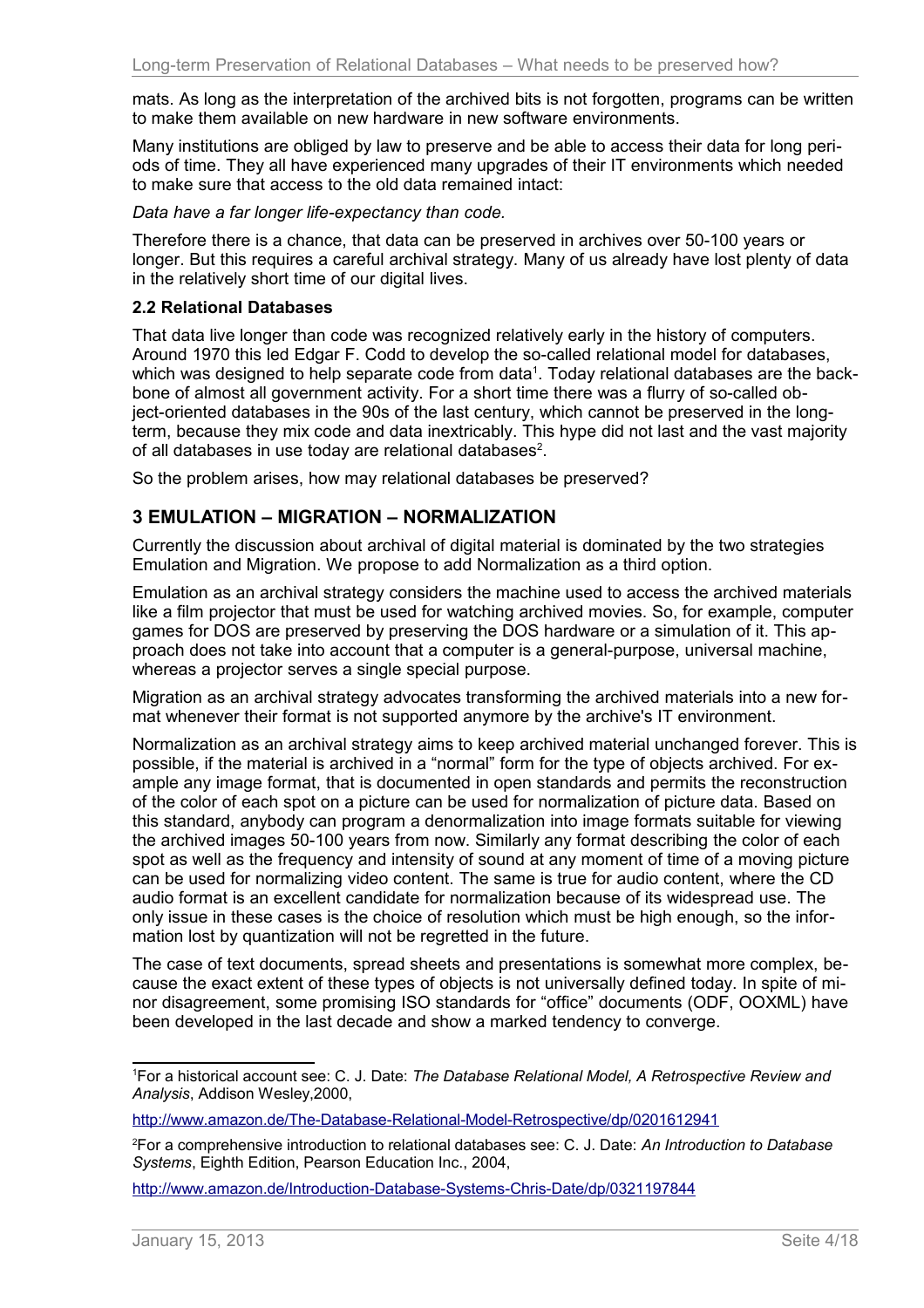mats. As long as the interpretation of the archived bits is not forgotten, programs can be written to make them available on new hardware in new software environments.

Many institutions are obliged by law to preserve and be able to access their data for long periods of time. They all have experienced many upgrades of their IT environments which needed to make sure that access to the old data remained intact:

#### *Data have a far longer life-expectancy than code.*

Therefore there is a chance, that data can be preserved in archives over 50-100 years or longer. But this requires a careful archival strategy. Many of us already have lost plenty of data in the relatively short time of our digital lives.

## <span id="page-3-1"></span>**2.2 Relational Databases**

That data live longer than code was recognized relatively early in the history of computers. Around 1970 this led Edgar F. Codd to develop the so-called relational model for databases, which was designed to help separate code from data<sup>[1](#page-3-2)</sup>. Today relational databases are the backbone of almost all government activity. For a short time there was a flurry of so-called object-oriented databases in the 90s of the last century, which cannot be preserved in the longterm, because they mix code and data inextricably. This hype did not last and the vast majority of all databases in use today are relational databases<sup>[2](#page-3-3)</sup>.

So the problem arises, how may relational databases be preserved?

## <span id="page-3-0"></span>**3 EMULATION – MIGRATION – NORMALIZATION**

Currently the discussion about archival of digital material is dominated by the two strategies Emulation and Migration. We propose to add Normalization as a third option.

Emulation as an archival strategy considers the machine used to access the archived materials like a film projector that must be used for watching archived movies. So, for example, computer games for DOS are preserved by preserving the DOS hardware or a simulation of it. This approach does not take into account that a computer is a general-purpose, universal machine, whereas a projector serves a single special purpose.

Migration as an archival strategy advocates transforming the archived materials into a new format whenever their format is not supported anymore by the archive's IT environment.

Normalization as an archival strategy aims to keep archived material unchanged forever. This is possible, if the material is archived in a "normal" form for the type of objects archived. For example any image format, that is documented in open standards and permits the reconstruction of the color of each spot on a picture can be used for normalization of picture data. Based on this standard, anybody can program a denormalization into image formats suitable for viewing the archived images 50-100 years from now. Similarly any format describing the color of each spot as well as the frequency and intensity of sound at any moment of time of a moving picture can be used for normalizing video content. The same is true for audio content, where the CD audio format is an excellent candidate for normalization because of its widespread use. The only issue in these cases is the choice of resolution which must be high enough, so the information lost by quantization will not be regretted in the future.

The case of text documents, spread sheets and presentations is somewhat more complex, because the exact extent of these types of objects is not universally defined today. In spite of minor disagreement, some promising ISO standards for "office" documents (ODF, OOXML) have been developed in the last decade and show a marked tendency to converge.

<span id="page-3-2"></span><sup>1</sup>For a historical account see: C. J. Date: *The Database Relational Model, A Retrospective Review and Analysis*, Addison Wesley,2000,

<http://www.amazon.de/The-Database-Relational-Model-Retrospective/dp/0201612941>

<span id="page-3-3"></span><sup>2</sup>For a comprehensive introduction to relational databases see: C. J. Date: *An Introduction to Database Systems*, Eighth Edition, Pearson Education Inc., 2004,

<http://www.amazon.de/Introduction-Database-Systems-Chris-Date/dp/0321197844>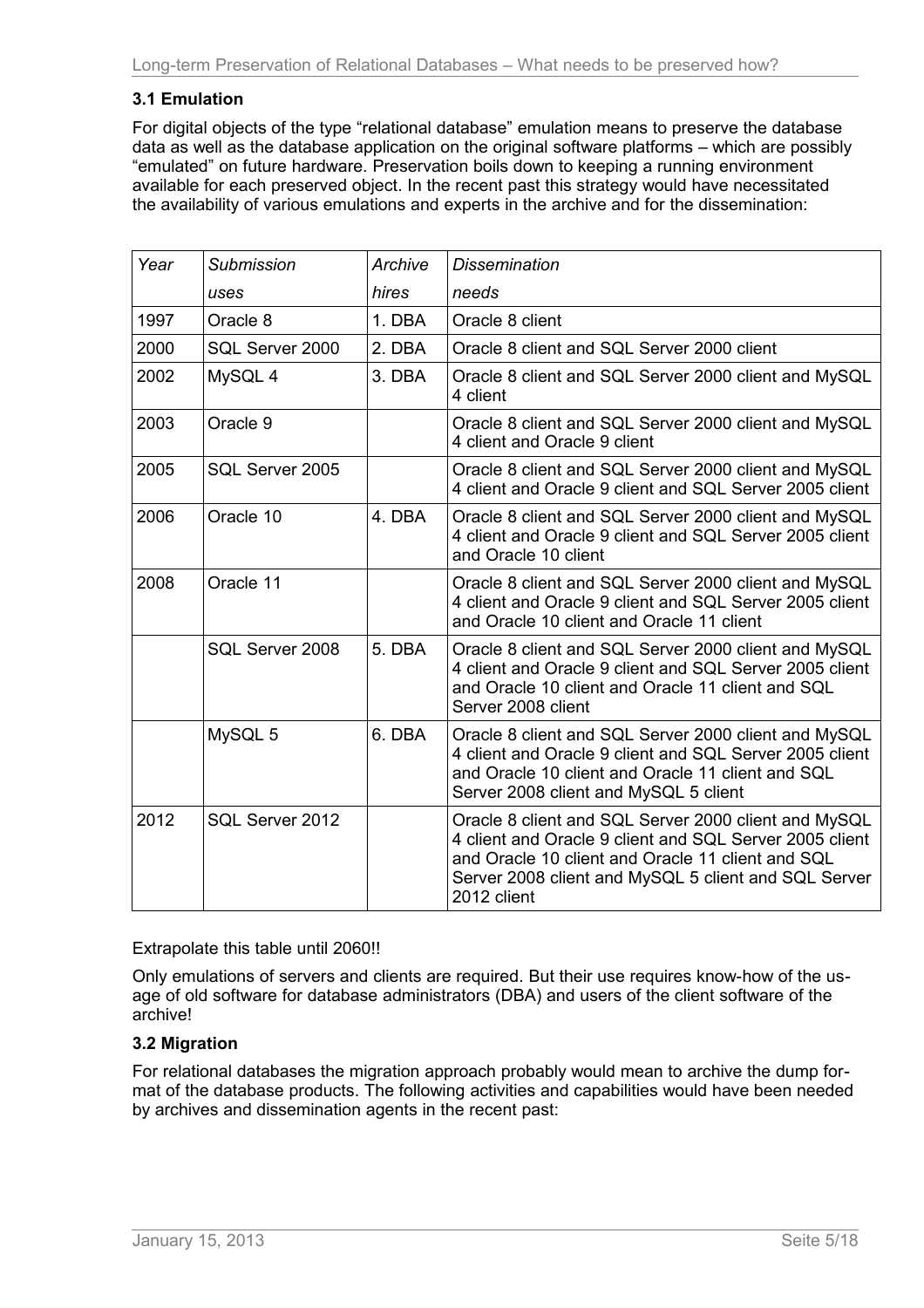# <span id="page-4-1"></span>**3.1 Emulation**

For digital objects of the type "relational database" emulation means to preserve the database data as well as the database application on the original software platforms – which are possibly "emulated" on future hardware. Preservation boils down to keeping a running environment available for each preserved object. In the recent past this strategy would have necessitated the availability of various emulations and experts in the archive and for the dissemination:

| Year | <b>Submission</b> | Archive | <b>Dissemination</b>                                                                                                                                                                                                                        |  |
|------|-------------------|---------|---------------------------------------------------------------------------------------------------------------------------------------------------------------------------------------------------------------------------------------------|--|
|      | uses              | hires   | needs                                                                                                                                                                                                                                       |  |
| 1997 | Oracle 8          | 1. DBA  | Oracle 8 client                                                                                                                                                                                                                             |  |
| 2000 | SQL Server 2000   | 2. DBA  | Oracle 8 client and SQL Server 2000 client                                                                                                                                                                                                  |  |
| 2002 | MySQL 4           | 3. DBA  | Oracle 8 client and SQL Server 2000 client and MySQL<br>4 client                                                                                                                                                                            |  |
| 2003 | Oracle 9          |         | Oracle 8 client and SQL Server 2000 client and MySQL<br>4 client and Oracle 9 client                                                                                                                                                        |  |
| 2005 | SQL Server 2005   |         | Oracle 8 client and SQL Server 2000 client and MySQL<br>4 client and Oracle 9 client and SQL Server 2005 client                                                                                                                             |  |
| 2006 | Oracle 10         | 4. DBA  | Oracle 8 client and SQL Server 2000 client and MySQL<br>4 client and Oracle 9 client and SQL Server 2005 client<br>and Oracle 10 client                                                                                                     |  |
| 2008 | Oracle 11         |         | Oracle 8 client and SQL Server 2000 client and MySQL<br>4 client and Oracle 9 client and SQL Server 2005 client<br>and Oracle 10 client and Oracle 11 client                                                                                |  |
|      | SQL Server 2008   | 5. DBA  | Oracle 8 client and SQL Server 2000 client and MySQL<br>4 client and Oracle 9 client and SQL Server 2005 client<br>and Oracle 10 client and Oracle 11 client and SQL<br>Server 2008 client                                                  |  |
|      | MySQL 5           | 6. DBA  | Oracle 8 client and SQL Server 2000 client and MySQL<br>4 client and Oracle 9 client and SQL Server 2005 client<br>and Oracle 10 client and Oracle 11 client and SQL<br>Server 2008 client and MySQL 5 client                               |  |
| 2012 | SQL Server 2012   |         | Oracle 8 client and SQL Server 2000 client and MySQL<br>4 client and Oracle 9 client and SQL Server 2005 client<br>and Oracle 10 client and Oracle 11 client and SQL<br>Server 2008 client and MySQL 5 client and SQL Server<br>2012 client |  |

Extrapolate this table until 2060!!

Only emulations of servers and clients are required. But their use requires know-how of the usage of old software for database administrators (DBA) and users of the client software of the archive!

## <span id="page-4-0"></span>**3.2 Migration**

For relational databases the migration approach probably would mean to archive the dump format of the database products. The following activities and capabilities would have been needed by archives and dissemination agents in the recent past: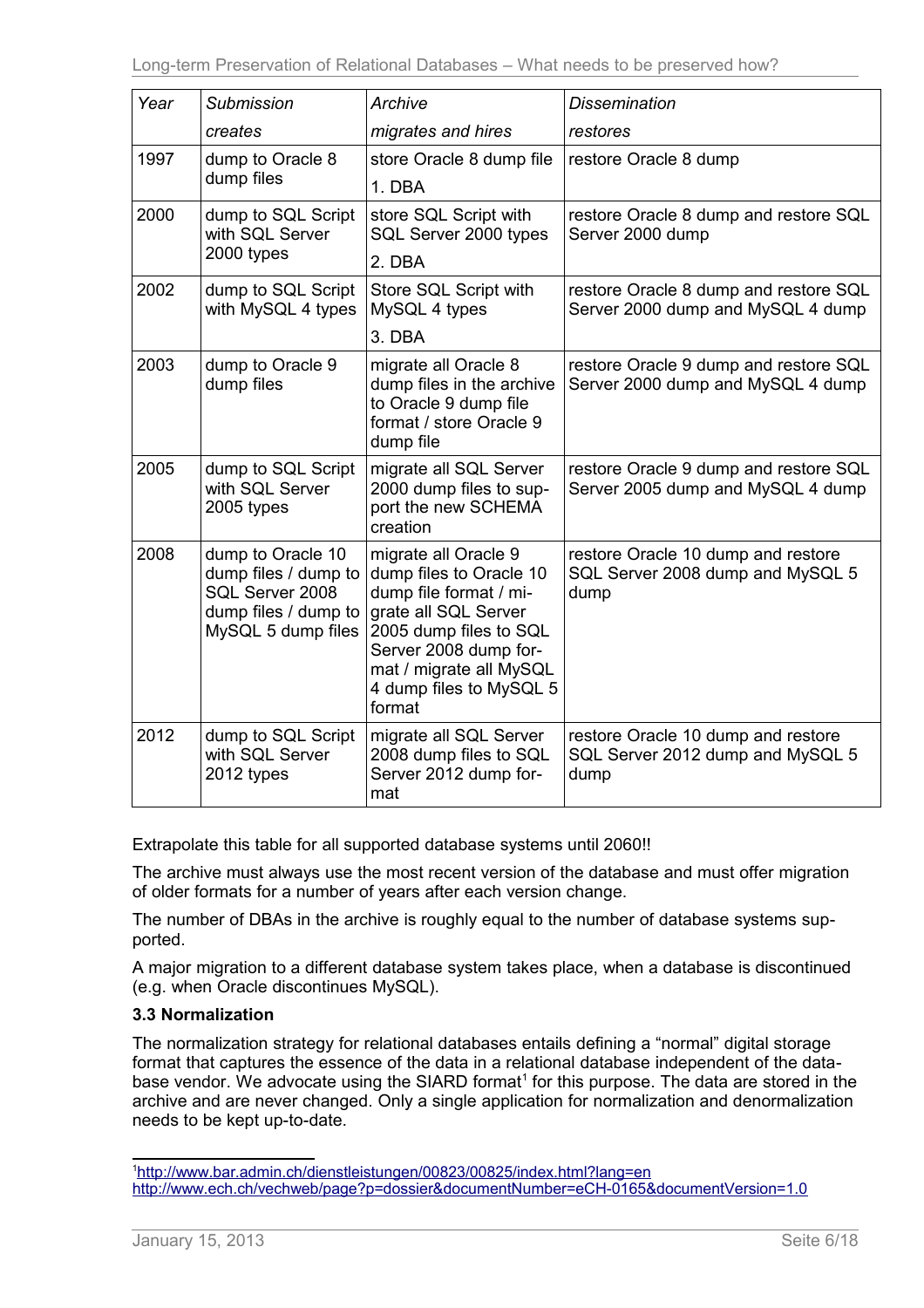| Year | Submission                                                                                                 | Archive                                                                                                                                                                                                              | <b>Dissemination</b>                                                           |
|------|------------------------------------------------------------------------------------------------------------|----------------------------------------------------------------------------------------------------------------------------------------------------------------------------------------------------------------------|--------------------------------------------------------------------------------|
|      | creates                                                                                                    | migrates and hires                                                                                                                                                                                                   | restores                                                                       |
| 1997 | dump to Oracle 8<br>dump files                                                                             | store Oracle 8 dump file<br>1. DBA                                                                                                                                                                                   | restore Oracle 8 dump                                                          |
| 2000 | dump to SQL Script<br>with SQL Server<br>2000 types                                                        | store SQL Script with<br>SQL Server 2000 types<br>2. DBA                                                                                                                                                             | restore Oracle 8 dump and restore SQL<br>Server 2000 dump                      |
| 2002 | dump to SQL Script<br>with MySQL 4 types                                                                   | Store SQL Script with<br>MySQL 4 types<br>3. DBA                                                                                                                                                                     | restore Oracle 8 dump and restore SQL<br>Server 2000 dump and MySQL 4 dump     |
| 2003 | dump to Oracle 9<br>dump files                                                                             | migrate all Oracle 8<br>dump files in the archive<br>to Oracle 9 dump file<br>format / store Oracle 9<br>dump file                                                                                                   | restore Oracle 9 dump and restore SQL<br>Server 2000 dump and MySQL 4 dump     |
| 2005 | dump to SQL Script<br>with SQL Server<br>2005 types                                                        | migrate all SQL Server<br>2000 dump files to sup-<br>port the new SCHEMA<br>creation                                                                                                                                 | restore Oracle 9 dump and restore SQL<br>Server 2005 dump and MySQL 4 dump     |
| 2008 | dump to Oracle 10<br>dump files / dump to<br>SQL Server 2008<br>dump files / dump to<br>MySQL 5 dump files | migrate all Oracle 9<br>dump files to Oracle 10<br>dump file format / mi-<br>grate all SQL Server<br>2005 dump files to SQL<br>Server 2008 dump for-<br>mat / migrate all MySQL<br>4 dump files to MySQL 5<br>format | restore Oracle 10 dump and restore<br>SQL Server 2008 dump and MySQL 5<br>dump |
| 2012 | dump to SQL Script<br>with SQL Server<br>2012 types                                                        | migrate all SQL Server<br>2008 dump files to SQL<br>Server 2012 dump for-<br>mat                                                                                                                                     | restore Oracle 10 dump and restore<br>SQL Server 2012 dump and MySQL 5<br>dump |

Extrapolate this table for all supported database systems until 2060!!

The archive must always use the most recent version of the database and must offer migration of older formats for a number of years after each version change.

The number of DBAs in the archive is roughly equal to the number of database systems supported.

A major migration to a different database system takes place, when a database is discontinued (e.g. when Oracle discontinues MySQL).

# <span id="page-5-0"></span>**3.3 Normalization**

The normalization strategy for relational databases entails defining a "normal" digital storage format that captures the essence of the data in a relational database independent of the data-base vendor. We advocate using the SIARD format<sup>[1](#page-5-1)</sup> for this purpose. The data are stored in the archive and are never changed. Only a single application for normalization and denormalization needs to be kept up-to-date.

<span id="page-5-1"></span><sup>1</sup> <http://www.bar.admin.ch/dienstleistungen/00823/00825/index.html?lang=en> <http://www.ech.ch/vechweb/page?p=dossier&documentNumber=eCH-0165&documentVersion=1.0>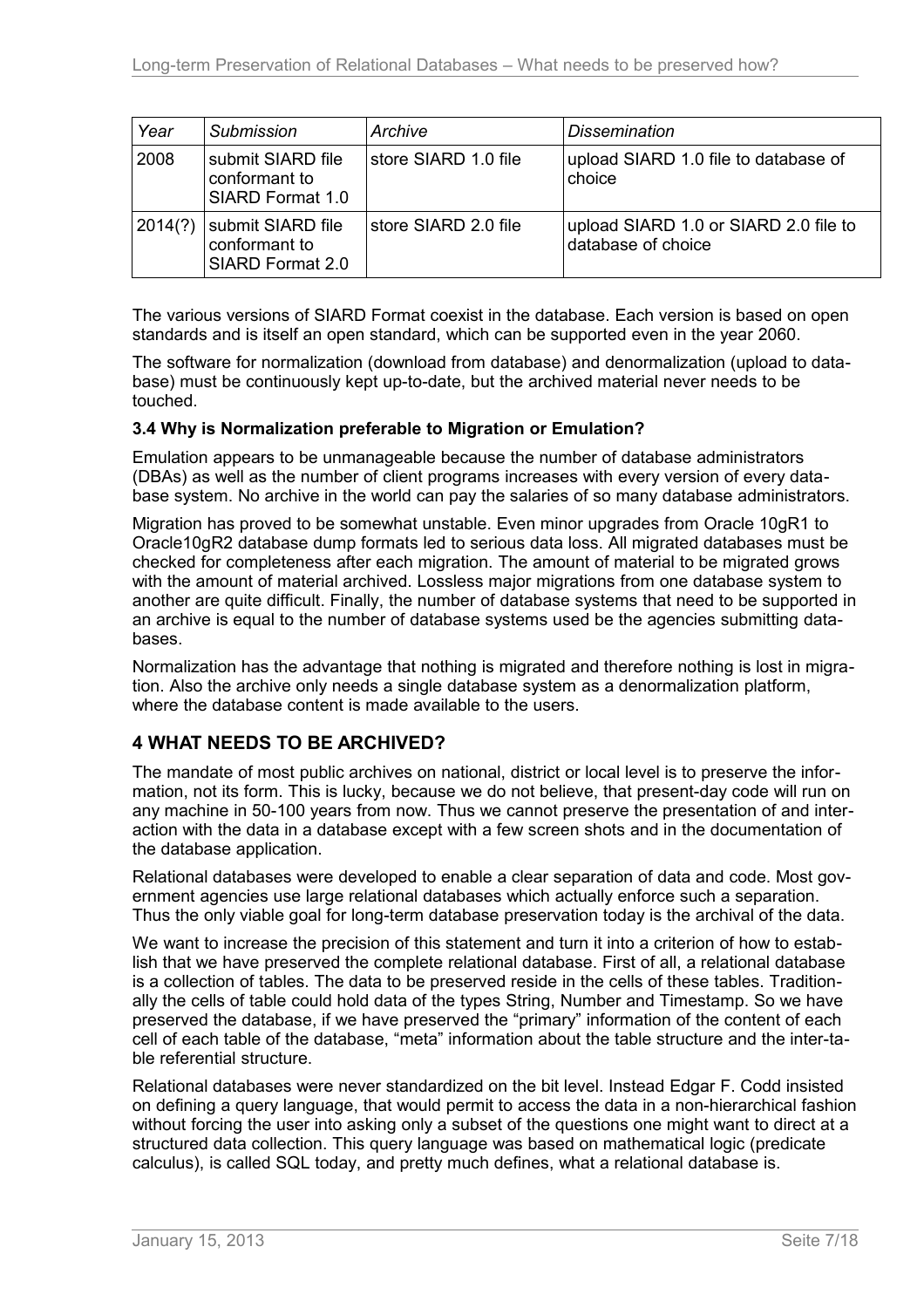| Year    | <b>Submission</b>                                      | Archive              | <b>Dissemination</b>                                        |
|---------|--------------------------------------------------------|----------------------|-------------------------------------------------------------|
| 2008    | submit SIARD file<br>conformant to<br>SIARD Format 1.0 | store SIARD 1.0 file | upload SIARD 1.0 file to database of<br>choice              |
| 2014(?) | submit SIARD file<br>conformant to<br>SIARD Format 2.0 | store SIARD 2.0 file | upload SIARD 1.0 or SIARD 2.0 file to<br>database of choice |

The various versions of SIARD Format coexist in the database. Each version is based on open standards and is itself an open standard, which can be supported even in the year 2060.

The software for normalization (download from database) and denormalization (upload to database) must be continuously kept up-to-date, but the archived material never needs to be touched.

## <span id="page-6-1"></span>**3.4 Why is Normalization preferable to Migration or Emulation?**

Emulation appears to be unmanageable because the number of database administrators (DBAs) as well as the number of client programs increases with every version of every database system. No archive in the world can pay the salaries of so many database administrators.

Migration has proved to be somewhat unstable. Even minor upgrades from Oracle 10gR1 to Oracle10gR2 database dump formats led to serious data loss. All migrated databases must be checked for completeness after each migration. The amount of material to be migrated grows with the amount of material archived. Lossless major migrations from one database system to another are quite difficult. Finally, the number of database systems that need to be supported in an archive is equal to the number of database systems used be the agencies submitting databases.

Normalization has the advantage that nothing is migrated and therefore nothing is lost in migration. Also the archive only needs a single database system as a denormalization platform, where the database content is made available to the users.

# <span id="page-6-0"></span>**4 WHAT NEEDS TO BE ARCHIVED?**

The mandate of most public archives on national, district or local level is to preserve the information, not its form. This is lucky, because we do not believe, that present-day code will run on any machine in 50-100 years from now. Thus we cannot preserve the presentation of and interaction with the data in a database except with a few screen shots and in the documentation of the database application.

Relational databases were developed to enable a clear separation of data and code. Most government agencies use large relational databases which actually enforce such a separation. Thus the only viable goal for long-term database preservation today is the archival of the data.

We want to increase the precision of this statement and turn it into a criterion of how to establish that we have preserved the complete relational database. First of all, a relational database is a collection of tables. The data to be preserved reside in the cells of these tables. Traditionally the cells of table could hold data of the types String, Number and Timestamp. So we have preserved the database, if we have preserved the "primary" information of the content of each cell of each table of the database, "meta" information about the table structure and the inter-table referential structure.

Relational databases were never standardized on the bit level. Instead Edgar F. Codd insisted on defining a query language, that would permit to access the data in a non-hierarchical fashion without forcing the user into asking only a subset of the questions one might want to direct at a structured data collection. This query language was based on mathematical logic (predicate calculus), is called SQL today, and pretty much defines, what a relational database is.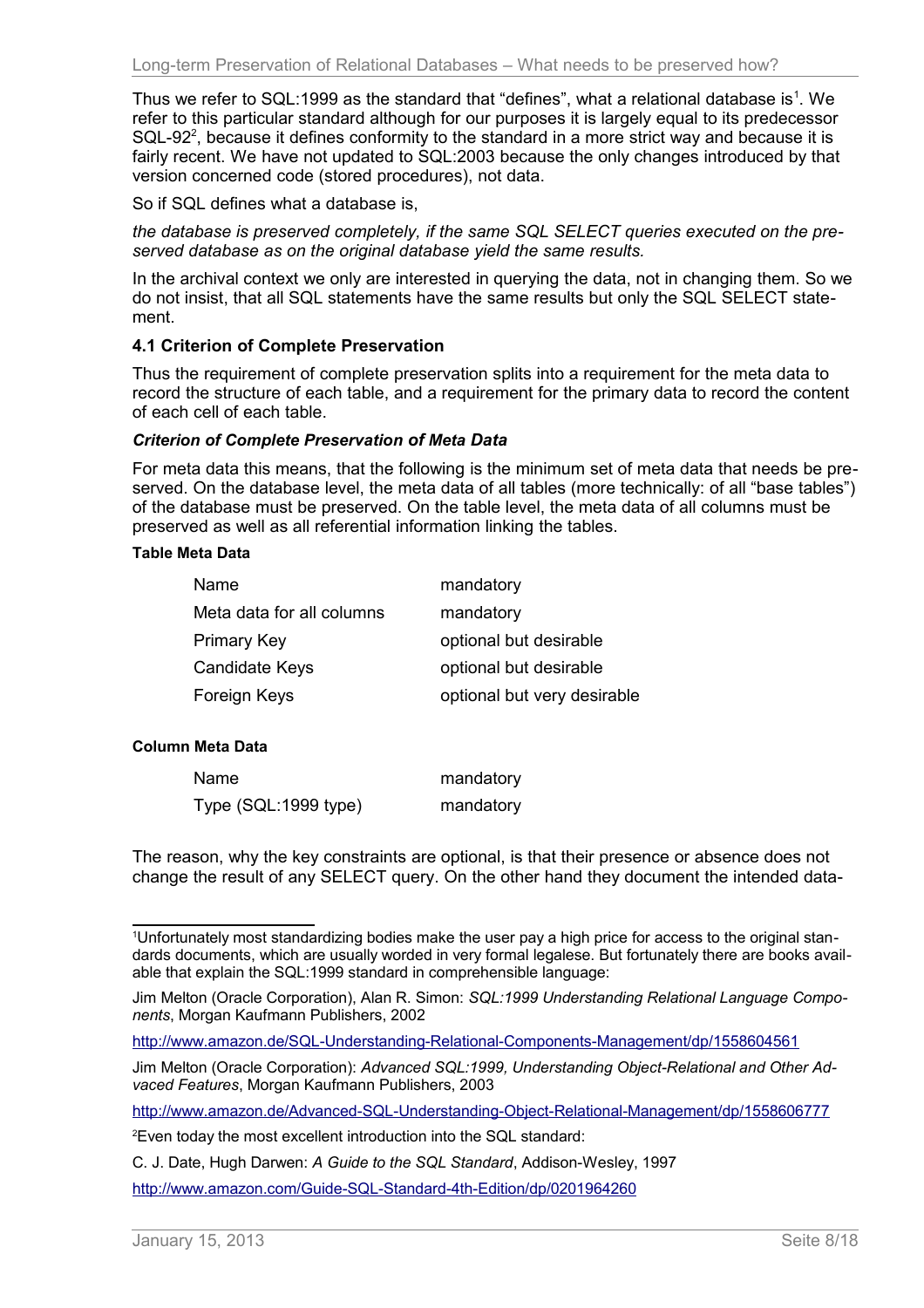Thus we refer to SQL:[1](#page-7-1)999 as the standard that "defines", what a relational database is<sup>1</sup>. We refer to this particular standard although for our purposes it is largely equal to its predecessor SQL-9[2](#page-7-2)<sup>2</sup>, because it defines conformity to the standard in a more strict way and because it is fairly recent. We have not updated to SQL:2003 because the only changes introduced by that version concerned code (stored procedures), not data.

So if SQL defines what a database is,

*the database is preserved completely, if the same SQL SELECT queries executed on the preserved database as on the original database yield the same results.*

In the archival context we only are interested in querying the data, not in changing them. So we do not insist, that all SQL statements have the same results but only the SQL SELECT statement.

## <span id="page-7-0"></span>**4.1 Criterion of Complete Preservation**

Thus the requirement of complete preservation splits into a requirement for the meta data to record the structure of each table, and a requirement for the primary data to record the content of each cell of each table.

#### *Criterion of Complete Preservation of Meta Data*

For meta data this means, that the following is the minimum set of meta data that needs be preserved. On the database level, the meta data of all tables (more technically: of all "base tables") of the database must be preserved. On the table level, the meta data of all columns must be preserved as well as all referential information linking the tables.

#### **Table Meta Data**

| mandatory                   |
|-----------------------------|
| mandatory                   |
| optional but desirable      |
| optional but desirable      |
| optional but very desirable |
|                             |

#### **Column Meta Data**

| Name                 | mandatory |
|----------------------|-----------|
| Type (SQL:1999 type) | mandatory |

The reason, why the key constraints are optional, is that their presence or absence does not change the result of any SELECT query. On the other hand they document the intended data-

<http://www.amazon.de/Advanced-SQL-Understanding-Object-Relational-Management/dp/1558606777>

<span id="page-7-1"></span><sup>1</sup>Unfortunately most standardizing bodies make the user pay a high price for access to the original standards documents, which are usually worded in very formal legalese. But fortunately there are books available that explain the SQL:1999 standard in comprehensible language:

Jim Melton (Oracle Corporation), Alan R. Simon: *SQL:1999 Understanding Relational Language Components*, Morgan Kaufmann Publishers, 2002

<http://www.amazon.de/SQL-Understanding-Relational-Components-Management/dp/1558604561>

Jim Melton (Oracle Corporation): Advanced SQL:1999, Understanding Object-Relational and Other Ad*vaced Features*, Morgan Kaufmann Publishers, 2003

<span id="page-7-2"></span><sup>2</sup>Even today the most excellent introduction into the SQL standard:

C. J. Date, Hugh Darwen: *A Guide to the SQL Standard*, Addison-Wesley, 1997

<http://www.amazon.com/Guide-SQL-Standard-4th-Edition/dp/0201964260>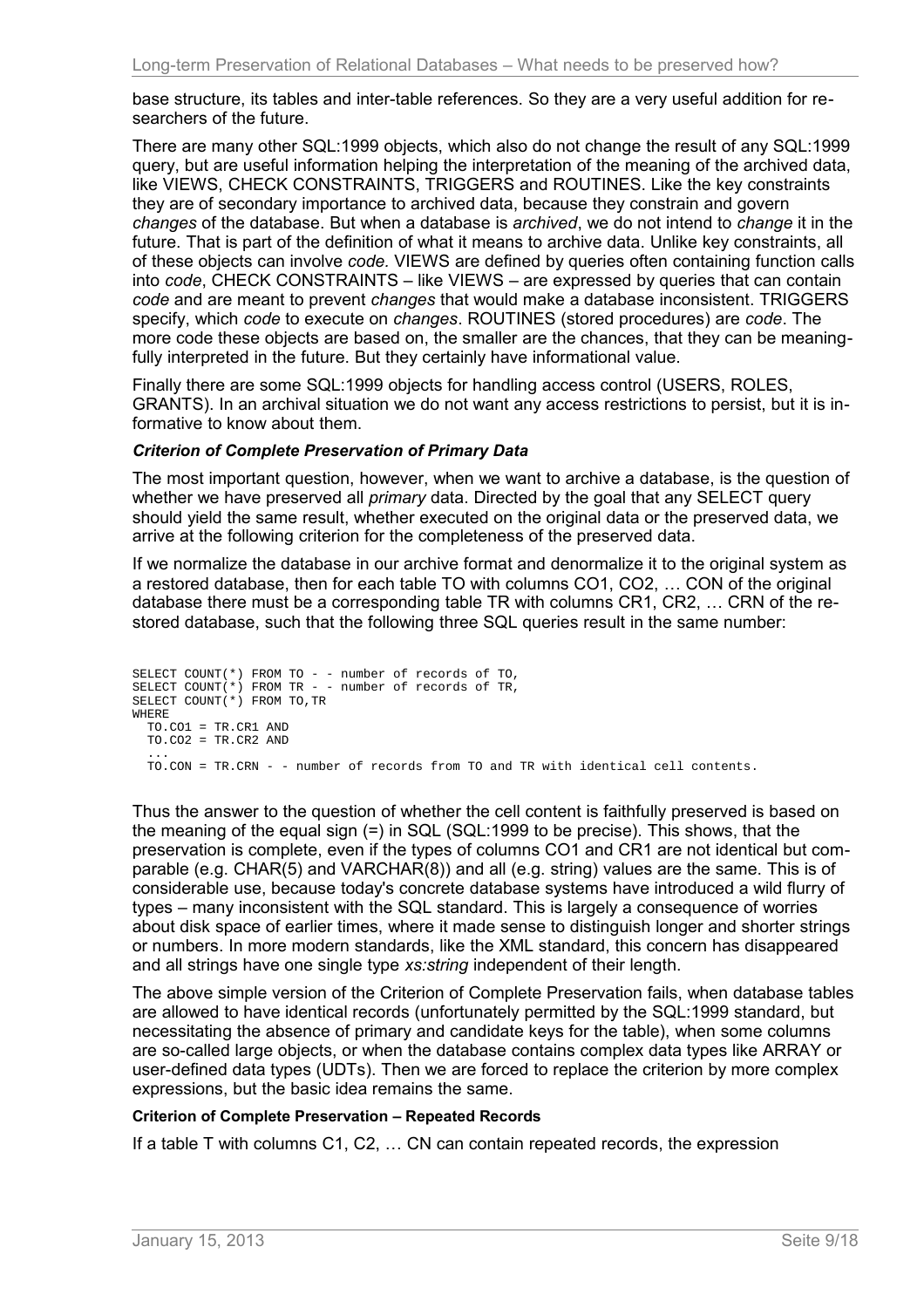base structure, its tables and inter-table references. So they are a very useful addition for researchers of the future.

There are many other SQL:1999 objects, which also do not change the result of any SQL:1999 query, but are useful information helping the interpretation of the meaning of the archived data, like VIEWS, CHECK CONSTRAINTS, TRIGGERS and ROUTINES. Like the key constraints they are of secondary importance to archived data, because they constrain and govern *changes* of the database. But when a database is *archived*, we do not intend to *change* it in the future. That is part of the definition of what it means to archive data. Unlike key constraints, all of these objects can involve *code.* VIEWS are defined by queries often containing function calls into *code*, CHECK CONSTRAINTS – like VIEWS – are expressed by queries that can contain *code* and are meant to prevent *changes* that would make a database inconsistent. TRIGGERS specify, which *code* to execute on *changes*. ROUTINES (stored procedures) are *code*. The more code these objects are based on, the smaller are the chances, that they can be meaningfully interpreted in the future. But they certainly have informational value.

Finally there are some SQL:1999 objects for handling access control (USERS, ROLES, GRANTS). In an archival situation we do not want any access restrictions to persist, but it is informative to know about them.

#### *Criterion of Complete Preservation of Primary Data*

The most important question, however, when we want to archive a database, is the question of whether we have preserved all *primary* data. Directed by the goal that any SELECT query should yield the same result, whether executed on the original data or the preserved data, we arrive at the following criterion for the completeness of the preserved data.

If we normalize the database in our archive format and denormalize it to the original system as a restored database, then for each table TO with columns CO1, CO2, … CON of the original database there must be a corresponding table TR with columns CR1, CR2, … CRN of the restored database, such that the following three SQL queries result in the same number:

```
SELECT COUNT(*) FROM TO - - number of records of TO,
SELECT COUNT(*) FROM TR - - number of records of TR,
SELECT COUNT(*) FROM TO,TR
WHERE
  TO.CO1 = TR.CR1 AND
  TO.CO2 = TR.CR2 AND
 ...
  TO.CON = TR.CRN - - number of records from TO and TR with identical cell contents.
```
Thus the answer to the question of whether the cell content is faithfully preserved is based on the meaning of the equal sign (=) in SQL (SQL:1999 to be precise). This shows, that the preservation is complete, even if the types of columns CO1 and CR1 are not identical but comparable (e.g. CHAR(5) and VARCHAR(8)) and all (e.g. string) values are the same. This is of considerable use, because today's concrete database systems have introduced a wild flurry of types – many inconsistent with the SQL standard. This is largely a consequence of worries about disk space of earlier times, where it made sense to distinguish longer and shorter strings or numbers. In more modern standards, like the XML standard, this concern has disappeared and all strings have one single type *xs:string* independent of their length.

The above simple version of the Criterion of Complete Preservation fails, when database tables are allowed to have identical records (unfortunately permitted by the SQL:1999 standard, but necessitating the absence of primary and candidate keys for the table), when some columns are so-called large objects, or when the database contains complex data types like ARRAY or user-defined data types (UDTs). Then we are forced to replace the criterion by more complex expressions, but the basic idea remains the same.

## **Criterion of Complete Preservation – Repeated Records**

If a table T with columns C1, C2, … CN can contain repeated records, the expression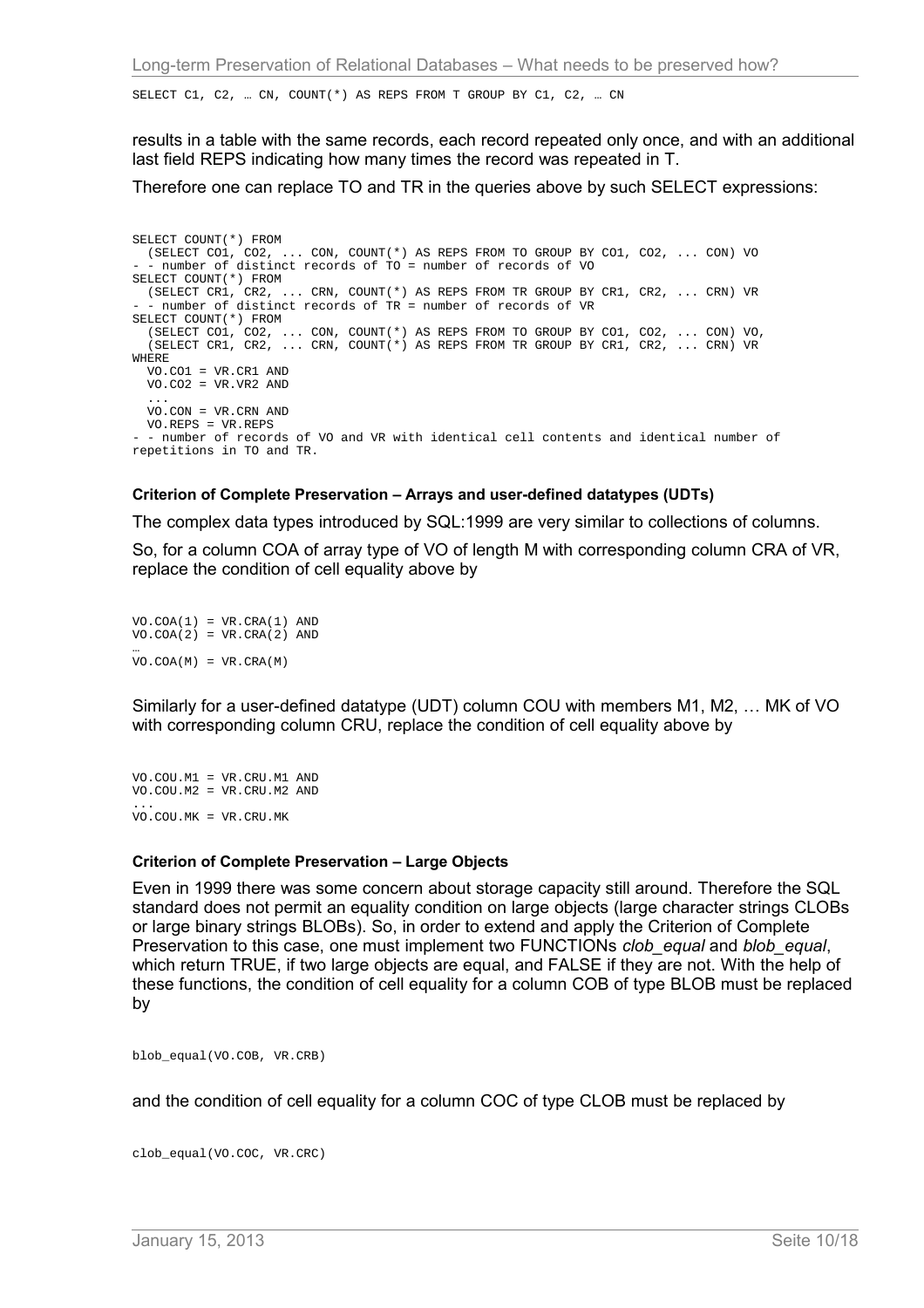SELECT C1, C2, … CN, COUNT(\*) AS REPS FROM T GROUP BY C1, C2, … CN

results in a table with the same records, each record repeated only once, and with an additional last field REPS indicating how many times the record was repeated in T.

Therefore one can replace TO and TR in the queries above by such SELECT expressions:

SELECT COUNT(\*) FROM (SELECT CO1, CO2, ... CON, COUNT(\*) AS REPS FROM TO GROUP BY CO1, CO2, ... CON) VO - number of distinct records of TO = number of records of VO SELECT COUNT(\*) FROM (SELECT CR1, CR2, ... CRN, COUNT(\*) AS REPS FROM TR GROUP BY CR1, CR2, ... CRN) VR - number of distinct records of TR = number of records of VR SELECT COUNT(\*) FROM (SELECT CO1, CO2, ... CON, COUNT(\*) AS REPS FROM TO GROUP BY CO1, CO2, ... CON) VO, (SELECT CR1, CR2, ... CRN, COUNT(\*) AS REPS FROM TR GROUP BY CR1, CR2, ... CRN) VR WHERE VO.CO1 = VR.CR1 AND VO.CO2 = VR.VR2 AND ... VO.CON = VR.CRN AND VO.REPS = VR.REPS - - number of records of VO and VR with identical cell contents and identical number of repetitions in TO and TR.

#### **Criterion of Complete Preservation – Arrays and user-defined datatypes (UDTs)**

The complex data types introduced by SQL:1999 are very similar to collections of columns.

So, for a column COA of array type of VO of length M with corresponding column CRA of VR, replace the condition of cell equality above by

 $VO.COA(1) = VR.CRA(1) AND$  $VO.COA(2) = VR.CRA(2) AND$ … VO.COA(M) = VR.CRA(M)

Similarly for a user-defined datatype (UDT) column COU with members M1, M2, … MK of VO with corresponding column CRU, replace the condition of cell equality above by

VO.COU.M1 = VR.CRU.M1 AND VO.COU.M2 = VR.CRU.M2 AND ... VO.COU.MK = VR.CRU.MK

#### **Criterion of Complete Preservation – Large Objects**

Even in 1999 there was some concern about storage capacity still around. Therefore the SQL standard does not permit an equality condition on large objects (large character strings CLOBs or large binary strings BLOBs). So, in order to extend and apply the Criterion of Complete Preservation to this case, one must implement two FUNCTIONs *clob\_equal* and *blob\_equal*, which return TRUE, if two large objects are equal, and FALSE if they are not. With the help of these functions, the condition of cell equality for a column COB of type BLOB must be replaced by

blob\_equal(VO.COB, VR.CRB)

and the condition of cell equality for a column COC of type CLOB must be replaced by

clob\_equal(VO.COC, VR.CRC)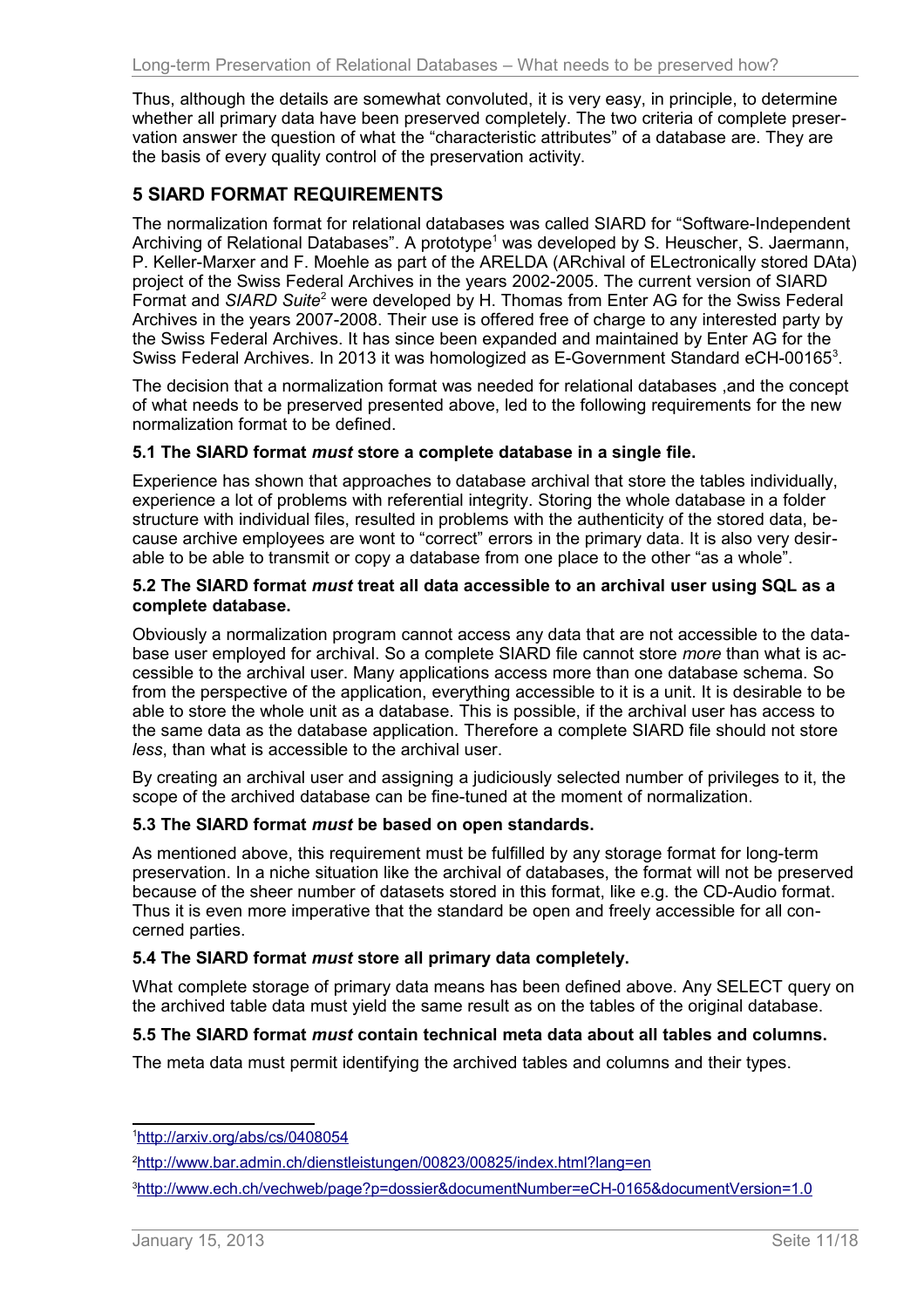Thus, although the details are somewhat convoluted, it is very easy, in principle, to determine whether all primary data have been preserved completely. The two criteria of complete preservation answer the question of what the "characteristic attributes" of a database are. They are the basis of every quality control of the preservation activity.

# <span id="page-10-5"></span>**5 SIARD FORMAT REQUIREMENTS**

The normalization format for relational databases was called SIARD for "Software-Independent Archiving of Relational Databases". A prototype<sup>[1](#page-10-6)</sup> was developed by S. Heuscher, S. Jaermann, P. Keller-Marxer and F. Moehle as part of the ARELDA (ARchival of ELectronically stored DAta) project of the Swiss Federal Archives in the years 2002-2005. The current version of SIARD Format and SIARD Suite<sup>[2](#page-10-7)</sup> were developed by H. Thomas from Enter AG for the Swiss Federal Archives in the years 2007-2008. Their use is offered free of charge to any interested party by the Swiss Federal Archives. It has since been expanded and maintained by Enter AG for the Swiss Federal Archives. In 201[3](#page-10-8) it was homologized as E-Government Standard eCH-00165<sup>3</sup>.

The decision that a normalization format was needed for relational databases ,and the concept of what needs to be preserved presented above, led to the following requirements for the new normalization format to be defined.

#### <span id="page-10-4"></span>**5.1 The SIARD format** *must* **store a complete database in a single file.**

Experience has shown that approaches to database archival that store the tables individually, experience a lot of problems with referential integrity. Storing the whole database in a folder structure with individual files, resulted in problems with the authenticity of the stored data, because archive employees are wont to "correct" errors in the primary data. It is also very desirable to be able to transmit or copy a database from one place to the other "as a whole".

#### <span id="page-10-3"></span>**5.2 The SIARD format** *must* **treat all data accessible to an archival user using SQL as a complete database.**

Obviously a normalization program cannot access any data that are not accessible to the database user employed for archival. So a complete SIARD file cannot store *more* than what is accessible to the archival user. Many applications access more than one database schema. So from the perspective of the application, everything accessible to it is a unit. It is desirable to be able to store the whole unit as a database. This is possible, if the archival user has access to the same data as the database application. Therefore a complete SIARD file should not store *less*, than what is accessible to the archival user.

By creating an archival user and assigning a judiciously selected number of privileges to it, the scope of the archived database can be fine-tuned at the moment of normalization.

## <span id="page-10-2"></span>**5.3 The SIARD format** *must* **be based on open standards.**

As mentioned above, this requirement must be fulfilled by any storage format for long-term preservation. In a niche situation like the archival of databases, the format will not be preserved because of the sheer number of datasets stored in this format, like e.g. the CD-Audio format. Thus it is even more imperative that the standard be open and freely accessible for all concerned parties.

## <span id="page-10-1"></span>**5.4 The SIARD format** *must* **store all primary data completely.**

What complete storage of primary data means has been defined above. Any SELECT query on the archived table data must yield the same result as on the tables of the original database.

## <span id="page-10-0"></span>**5.5 The SIARD format** *must* **contain technical meta data about all tables and columns.**

The meta data must permit identifying the archived tables and columns and their types.

<span id="page-10-6"></span><sup>1</sup> <http://arxiv.org/abs/cs/0408054>

<span id="page-10-7"></span><sup>2</sup><http://www.bar.admin.ch/dienstleistungen/00823/00825/index.html?lang=en>

<span id="page-10-8"></span><sup>3</sup><http://www.ech.ch/vechweb/page?p=dossier&documentNumber=eCH-0165&documentVersion=1.0>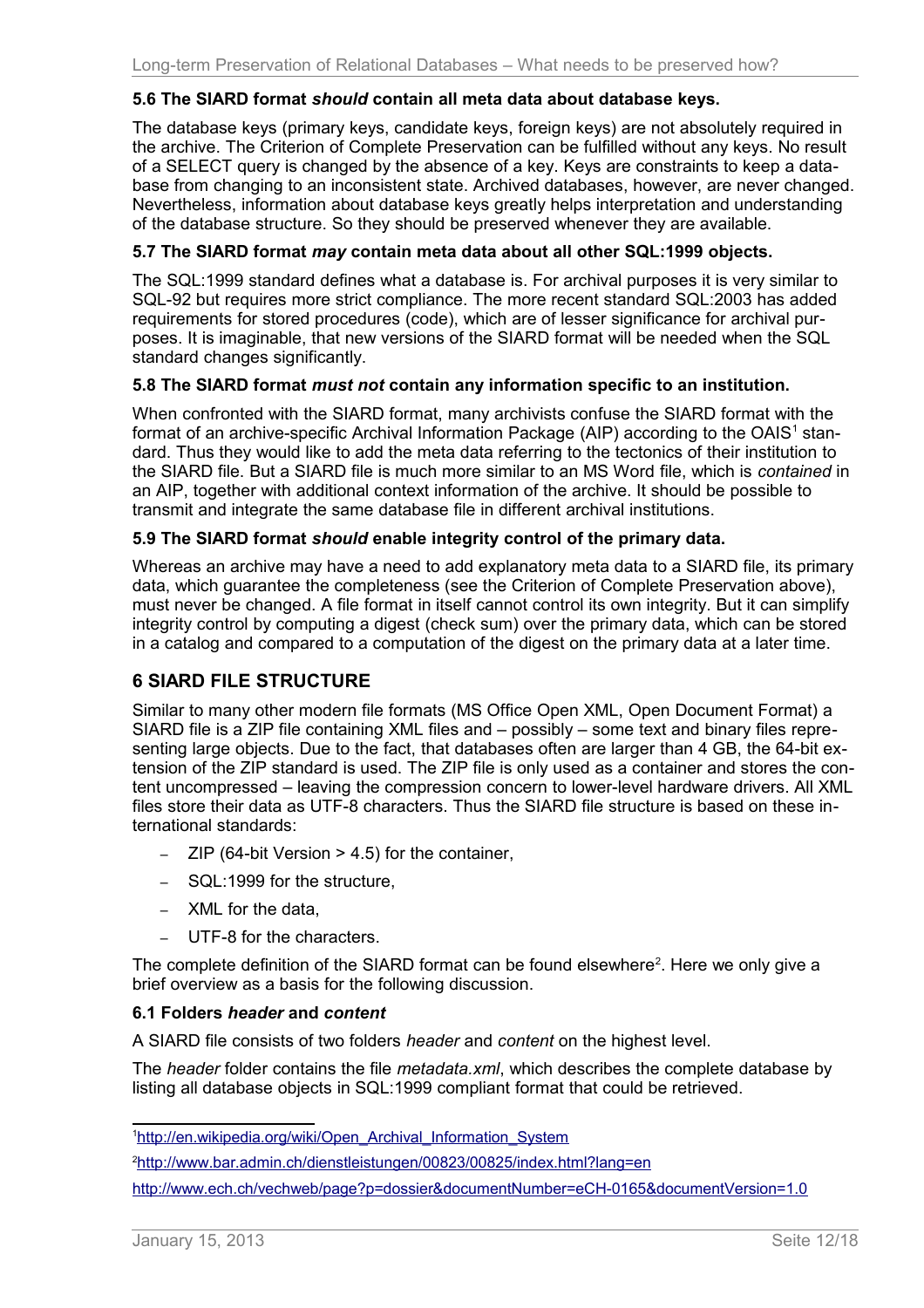## <span id="page-11-5"></span>**5.6 The SIARD format** *should* **contain all meta data about database keys.**

The database keys (primary keys, candidate keys, foreign keys) are not absolutely required in the archive. The Criterion of Complete Preservation can be fulfilled without any keys. No result of a SELECT query is changed by the absence of a key. Keys are constraints to keep a database from changing to an inconsistent state. Archived databases, however, are never changed. Nevertheless, information about database keys greatly helps interpretation and understanding of the database structure. So they should be preserved whenever they are available.

## <span id="page-11-4"></span>**5.7 The SIARD format** *may* **contain meta data about all other SQL:1999 objects.**

The SQL:1999 standard defines what a database is. For archival purposes it is very similar to SQL-92 but requires more strict compliance. The more recent standard SQL:2003 has added requirements for stored procedures (code), which are of lesser significance for archival purposes. It is imaginable, that new versions of the SIARD format will be needed when the SQL standard changes significantly.

#### <span id="page-11-3"></span>**5.8 The SIARD format** *must not* **contain any information specific to an institution.**

When confronted with the SIARD format, many archivists confuse the SIARD format with the format of an archive-specific Archival Information Package (AIP) according to the OAIS<sup>[1](#page-11-6)</sup> standard. Thus they would like to add the meta data referring to the tectonics of their institution to the SIARD file. But a SIARD file is much more similar to an MS Word file, which is *contained* in an AIP, together with additional context information of the archive. It should be possible to transmit and integrate the same database file in different archival institutions.

## <span id="page-11-2"></span>**5.9 The SIARD format** *should* **enable integrity control of the primary data.**

Whereas an archive may have a need to add explanatory meta data to a SIARD file, its primary data, which guarantee the completeness (see the Criterion of Complete Preservation above), must never be changed. A file format in itself cannot control its own integrity. But it can simplify integrity control by computing a digest (check sum) over the primary data, which can be stored in a catalog and compared to a computation of the digest on the primary data at a later time.

# <span id="page-11-1"></span>**6 SIARD FILE STRUCTURE**

Similar to many other modern file formats (MS Office Open XML, Open Document Format) a SIARD file is a ZIP file containing XML files and – possibly – some text and binary files representing large objects. Due to the fact, that databases often are larger than 4 GB, the 64-bit extension of the ZIP standard is used. The ZIP file is only used as a container and stores the content uncompressed – leaving the compression concern to lower-level hardware drivers. All XML files store their data as UTF-8 characters. Thus the SIARD file structure is based on these international standards:

- $-$  ZIP (64-bit Version  $>$  4.5) for the container,
- SQL:1999 for the structure,
- XML for the data,
- UTF-8 for the characters.

The complete definition of the SIARD format can be found elsewhere<sup>[2](#page-11-7)</sup>. Here we only give a brief overview as a basis for the following discussion.

#### <span id="page-11-0"></span>**6.1 Folders** *header* **and** *content*

A SIARD file consists of two folders *header* and *content* on the highest level.

The *header* folder contains the file *metadata.xml*, which describes the complete database by listing all database objects in SQL:1999 compliant format that could be retrieved.

<span id="page-11-6"></span><sup>&</sup>lt;sup>1</sup>http://en.wikipedia.org/wiki/Open\_Archival\_Information\_System

<span id="page-11-7"></span><sup>2</sup><http://www.bar.admin.ch/dienstleistungen/00823/00825/index.html?lang=en>

<http://www.ech.ch/vechweb/page?p=dossier&documentNumber=eCH-0165&documentVersion=1.0>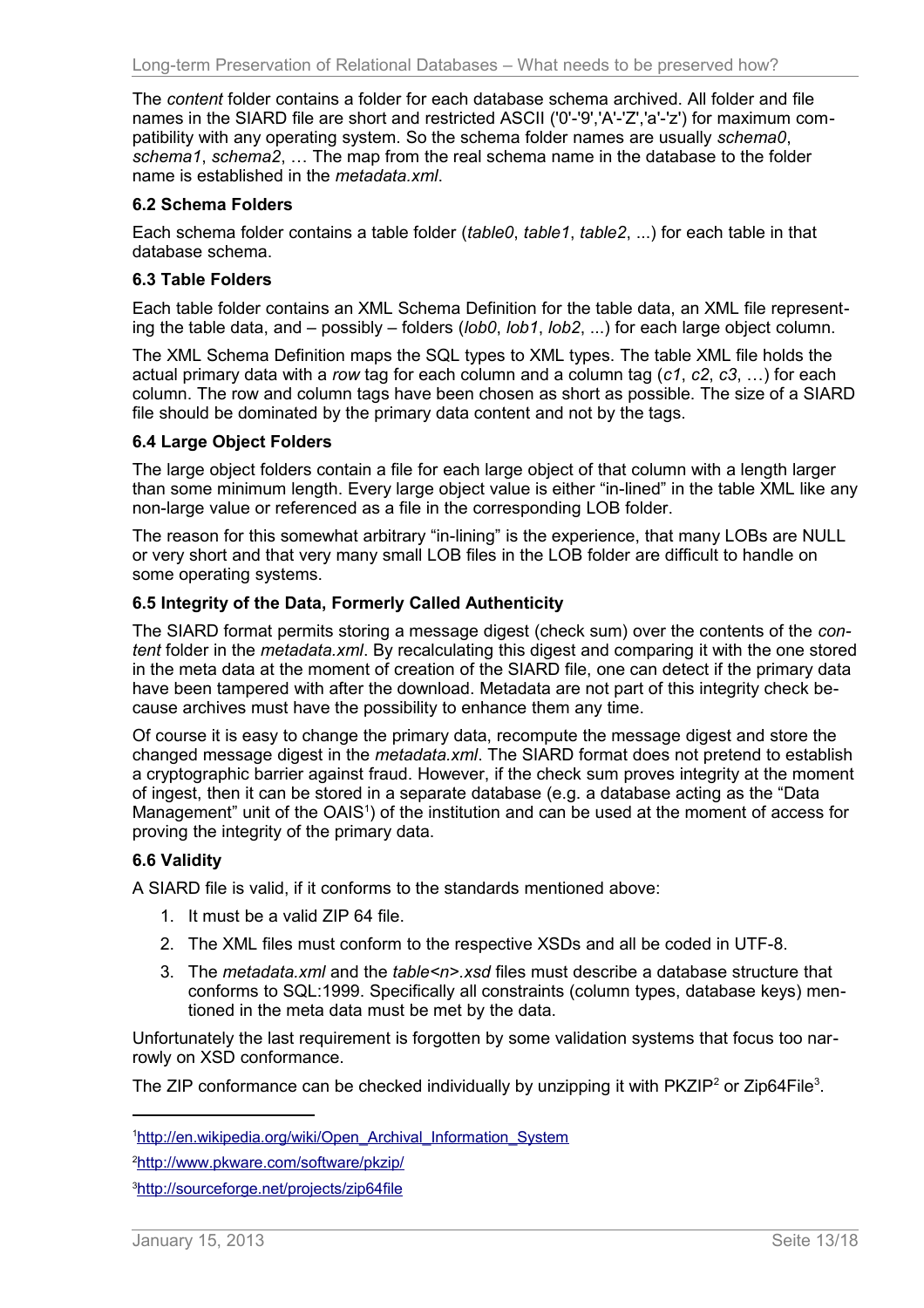The *content* folder contains a folder for each database schema archived. All folder and file names in the SIARD file are short and restricted ASCII ('0'-'9','A'-'Z','a'-'z') for maximum compatibility with any operating system. So the schema folder names are usually *schema0*, *schema1*, *schema2*, … The map from the real schema name in the database to the folder name is established in the *metadata.xml*.

## <span id="page-12-4"></span>**6.2 Schema Folders**

Each schema folder contains a table folder (*table0*, *table1*, *table2*, ...) for each table in that database schema.

## <span id="page-12-3"></span>**6.3 Table Folders**

Each table folder contains an XML Schema Definition for the table data, an XML file representing the table data, and – possibly – folders (*lob0*, *lob1*, *lob2*, ...) for each large object column.

The XML Schema Definition maps the SQL types to XML types. The table XML file holds the actual primary data with a *row* tag for each column and a column tag (*c1*, *c2*, *c3*, …) for each column. The row and column tags have been chosen as short as possible. The size of a SIARD file should be dominated by the primary data content and not by the tags.

## <span id="page-12-2"></span>**6.4 Large Object Folders**

The large object folders contain a file for each large object of that column with a length larger than some minimum length. Every large object value is either "in-lined" in the table XML like any non-large value or referenced as a file in the corresponding LOB folder.

The reason for this somewhat arbitrary "in-lining" is the experience, that many LOBs are NULL or very short and that very many small LOB files in the LOB folder are difficult to handle on some operating systems.

## <span id="page-12-1"></span>**6.5 Integrity of the Data, Formerly Called Authenticity**

The SIARD format permits storing a message digest (check sum) over the contents of the *content* folder in the *metadata.xml*. By recalculating this digest and comparing it with the one stored in the meta data at the moment of creation of the SIARD file, one can detect if the primary data have been tampered with after the download. Metadata are not part of this integrity check because archives must have the possibility to enhance them any time.

Of course it is easy to change the primary data, recompute the message digest and store the changed message digest in the *metadata.xml*. The SIARD format does not pretend to establish a cryptographic barrier against fraud. However, if the check sum proves integrity at the moment of ingest, then it can be stored in a separate database (e.g. a database acting as the "Data Management" unit of the OAIS<sup>[1](#page-12-5)</sup>) of the institution and can be used at the moment of access for proving the integrity of the primary data.

# <span id="page-12-0"></span>**6.6 Validity**

A SIARD file is valid, if it conforms to the standards mentioned above:

- 1. It must be a valid ZIP 64 file.
- 2. The XML files must conform to the respective XSDs and all be coded in UTF-8.
- 3. The *metadata.xml* and the *table<n>.xsd* files must describe a database structure that conforms to SQL:1999. Specifically all constraints (column types, database keys) mentioned in the meta data must be met by the data.

Unfortunately the last requirement is forgotten by some validation systems that focus too narrowly on XSD conformance.

The ZIP conformance can be checked individually by unzipping it with PKZIP<sup>[2](#page-12-6)</sup> or Zip64File<sup>[3](#page-12-7)</sup>.

<span id="page-12-7"></span><sup>3</sup><http://sourceforge.net/projects/zip64file>

<span id="page-12-5"></span><sup>&</sup>lt;sup>1</sup>http://en.wikipedia.org/wiki/Open\_Archival\_Information\_System

<span id="page-12-6"></span><sup>2</sup><http://www.pkware.com/software/pkzip/>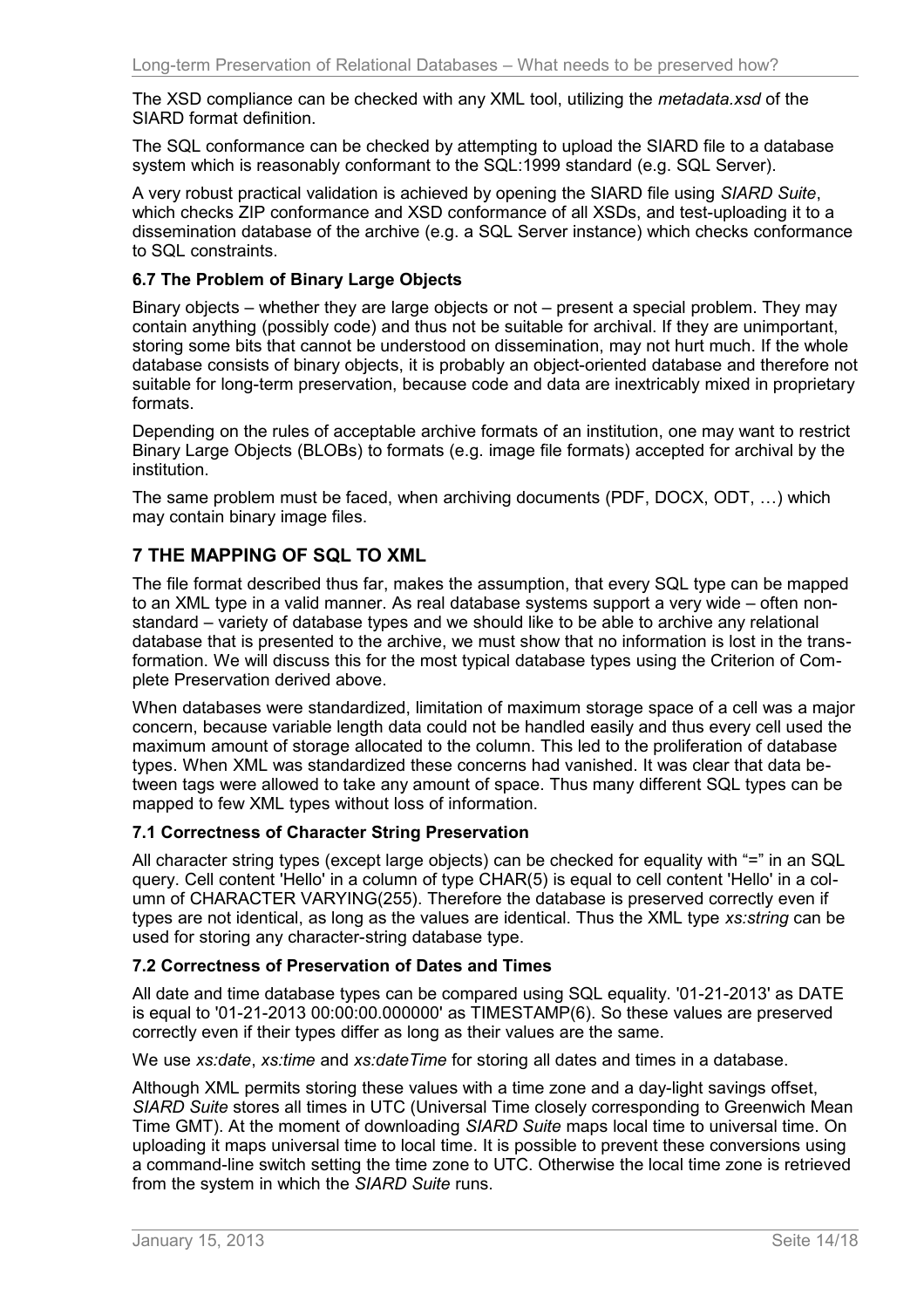The XSD compliance can be checked with any XML tool, utilizing the *metadata.xsd* of the SIARD format definition.

The SQL conformance can be checked by attempting to upload the SIARD file to a database system which is reasonably conformant to the SQL:1999 standard (e.g. SQL Server).

A very robust practical validation is achieved by opening the SIARD file using *SIARD Suite*, which checks ZIP conformance and XSD conformance of all XSDs, and test-uploading it to a dissemination database of the archive (e.g. a SQL Server instance) which checks conformance to SQL constraints.

## <span id="page-13-3"></span>**6.7 The Problem of Binary Large Objects**

Binary objects – whether they are large objects or not – present a special problem. They may contain anything (possibly code) and thus not be suitable for archival. If they are unimportant, storing some bits that cannot be understood on dissemination, may not hurt much. If the whole database consists of binary objects, it is probably an object-oriented database and therefore not suitable for long-term preservation, because code and data are inextricably mixed in proprietary formats.

Depending on the rules of acceptable archive formats of an institution, one may want to restrict Binary Large Objects (BLOBs) to formats (e.g. image file formats) accepted for archival by the institution.

The same problem must be faced, when archiving documents (PDF, DOCX, ODT, …) which may contain binary image files.

# <span id="page-13-2"></span>**7 THE MAPPING OF SQL TO XML**

The file format described thus far, makes the assumption, that every SQL type can be mapped to an XML type in a valid manner. As real database systems support a very wide – often nonstandard – variety of database types and we should like to be able to archive any relational database that is presented to the archive, we must show that no information is lost in the transformation. We will discuss this for the most typical database types using the Criterion of Complete Preservation derived above.

When databases were standardized, limitation of maximum storage space of a cell was a major concern, because variable length data could not be handled easily and thus every cell used the maximum amount of storage allocated to the column. This led to the proliferation of database types. When XML was standardized these concerns had vanished. It was clear that data between tags were allowed to take any amount of space. Thus many different SQL types can be mapped to few XML types without loss of information.

## <span id="page-13-1"></span>**7.1 Correctness of Character String Preservation**

All character string types (except large objects) can be checked for equality with "=" in an SQL query. Cell content 'Hello' in a column of type CHAR(5) is equal to cell content 'Hello' in a column of CHARACTER VARYING(255). Therefore the database is preserved correctly even if types are not identical, as long as the values are identical. Thus the XML type *xs:string* can be used for storing any character-string database type.

## <span id="page-13-0"></span>**7.2 Correctness of Preservation of Dates and Times**

All date and time database types can be compared using SQL equality. '01-21-2013' as DATE is equal to '01-21-2013 00:00:00.000000' as TIMESTAMP(6). So these values are preserved correctly even if their types differ as long as their values are the same.

We use *xs:date*, *xs:time* and *xs:dateTime* for storing all dates and times in a database.

Although XML permits storing these values with a time zone and a day-light savings offset, *SIARD Suite* stores all times in UTC (Universal Time closely corresponding to Greenwich Mean Time GMT). At the moment of downloading *SIARD Suite* maps local time to universal time. On uploading it maps universal time to local time. It is possible to prevent these conversions using a command-line switch setting the time zone to UTC. Otherwise the local time zone is retrieved from the system in which the *SIARD Suite* runs.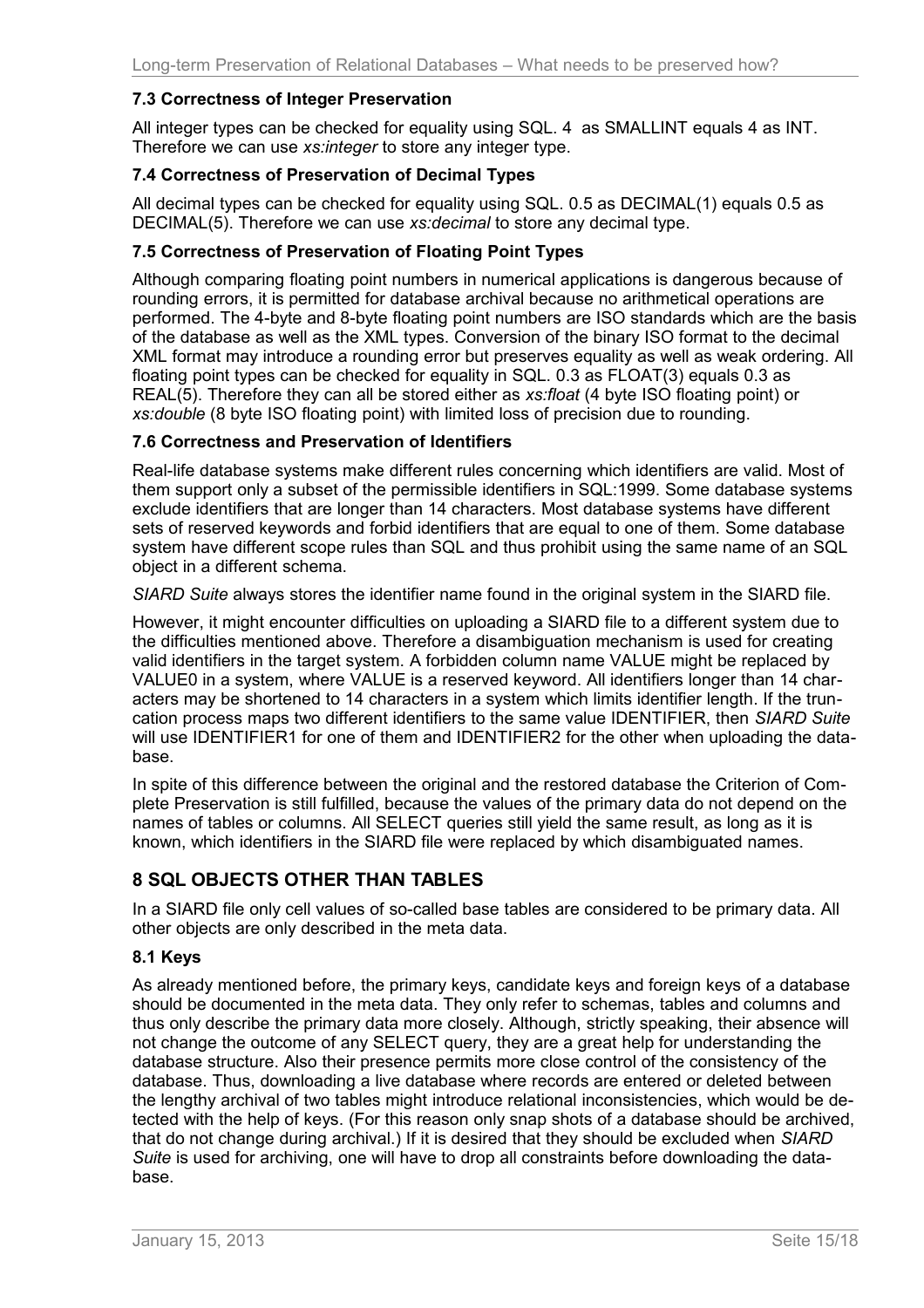## <span id="page-14-5"></span>**7.3 Correctness of Integer Preservation**

All integer types can be checked for equality using SQL. 4 as SMALLINT equals 4 as INT. Therefore we can use *xs:integer* to store any integer type.

## <span id="page-14-4"></span>**7.4 Correctness of Preservation of Decimal Types**

All decimal types can be checked for equality using SQL. 0.5 as DECIMAL(1) equals 0.5 as DECIMAL(5). Therefore we can use *xs:decimal* to store any decimal type.

## <span id="page-14-3"></span>**7.5 Correctness of Preservation of Floating Point Types**

Although comparing floating point numbers in numerical applications is dangerous because of rounding errors, it is permitted for database archival because no arithmetical operations are performed. The 4-byte and 8-byte floating point numbers are ISO standards which are the basis of the database as well as the XML types. Conversion of the binary ISO format to the decimal XML format may introduce a rounding error but preserves equality as well as weak ordering. All floating point types can be checked for equality in SQL. 0.3 as FLOAT(3) equals 0.3 as REAL(5). Therefore they can all be stored either as *xs:float* (4 byte ISO floating point) or *xs:double* (8 byte ISO floating point) with limited loss of precision due to rounding.

#### <span id="page-14-2"></span>**7.6 Correctness and Preservation of Identifiers**

Real-life database systems make different rules concerning which identifiers are valid. Most of them support only a subset of the permissible identifiers in SQL:1999. Some database systems exclude identifiers that are longer than 14 characters. Most database systems have different sets of reserved keywords and forbid identifiers that are equal to one of them. Some database system have different scope rules than SQL and thus prohibit using the same name of an SQL object in a different schema.

*SIARD Suite* always stores the identifier name found in the original system in the SIARD file.

However, it might encounter difficulties on uploading a SIARD file to a different system due to the difficulties mentioned above. Therefore a disambiguation mechanism is used for creating valid identifiers in the target system. A forbidden column name VALUE might be replaced by VALUE0 in a system, where VALUE is a reserved keyword. All identifiers longer than 14 characters may be shortened to 14 characters in a system which limits identifier length. If the truncation process maps two different identifiers to the same value IDENTIFIER, then *SIARD Suite* will use IDENTIFIER1 for one of them and IDENTIFIER2 for the other when uploading the database.

In spite of this difference between the original and the restored database the Criterion of Complete Preservation is still fulfilled, because the values of the primary data do not depend on the names of tables or columns. All SELECT queries still yield the same result, as long as it is known, which identifiers in the SIARD file were replaced by which disambiguated names.

# <span id="page-14-1"></span>**8 SQL OBJECTS OTHER THAN TABLES**

In a SIARD file only cell values of so-called base tables are considered to be primary data. All other objects are only described in the meta data.

## <span id="page-14-0"></span>**8.1 Keys**

As already mentioned before, the primary keys, candidate keys and foreign keys of a database should be documented in the meta data. They only refer to schemas, tables and columns and thus only describe the primary data more closely. Although, strictly speaking, their absence will not change the outcome of any SELECT query, they are a great help for understanding the database structure. Also their presence permits more close control of the consistency of the database. Thus, downloading a live database where records are entered or deleted between the lengthy archival of two tables might introduce relational inconsistencies, which would be detected with the help of keys. (For this reason only snap shots of a database should be archived, that do not change during archival.) If it is desired that they should be excluded when *SIARD Suite* is used for archiving, one will have to drop all constraints before downloading the database.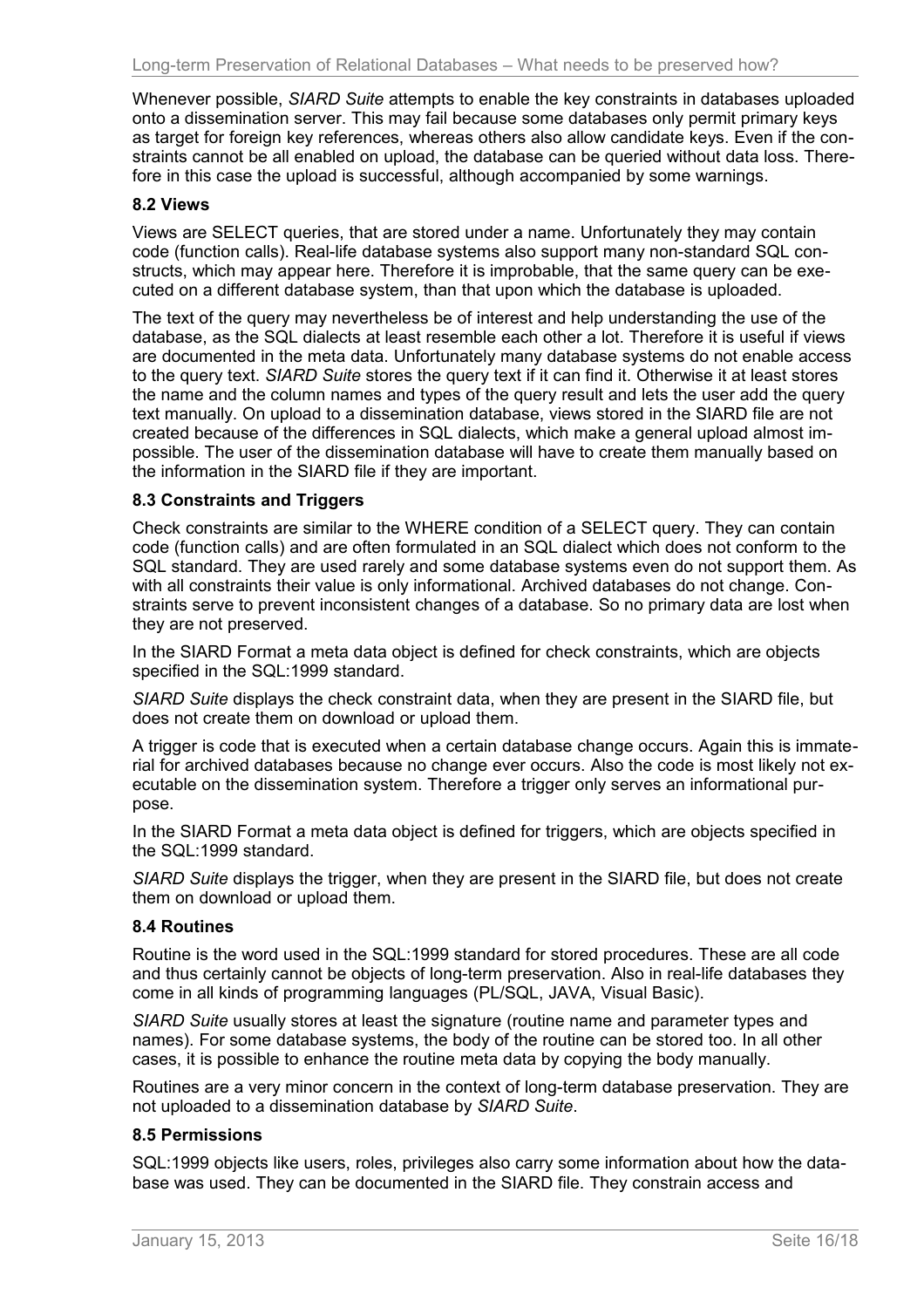Whenever possible, *SIARD Suite* attempts to enable the key constraints in databases uploaded onto a dissemination server. This may fail because some databases only permit primary keys as target for foreign key references, whereas others also allow candidate keys. Even if the constraints cannot be all enabled on upload, the database can be queried without data loss. Therefore in this case the upload is successful, although accompanied by some warnings.

#### <span id="page-15-3"></span>**8.2 Views**

Views are SELECT queries, that are stored under a name. Unfortunately they may contain code (function calls). Real-life database systems also support many non-standard SQL constructs, which may appear here. Therefore it is improbable, that the same query can be executed on a different database system, than that upon which the database is uploaded.

The text of the query may nevertheless be of interest and help understanding the use of the database, as the SQL dialects at least resemble each other a lot. Therefore it is useful if views are documented in the meta data. Unfortunately many database systems do not enable access to the query text. *SIARD Suite* stores the query text if it can find it. Otherwise it at least stores the name and the column names and types of the query result and lets the user add the query text manually. On upload to a dissemination database, views stored in the SIARD file are not created because of the differences in SQL dialects, which make a general upload almost impossible. The user of the dissemination database will have to create them manually based on the information in the SIARD file if they are important.

#### <span id="page-15-2"></span>**8.3 Constraints and Triggers**

Check constraints are similar to the WHERE condition of a SELECT query. They can contain code (function calls) and are often formulated in an SQL dialect which does not conform to the SQL standard. They are used rarely and some database systems even do not support them. As with all constraints their value is only informational. Archived databases do not change. Constraints serve to prevent inconsistent changes of a database. So no primary data are lost when they are not preserved.

In the SIARD Format a meta data object is defined for check constraints, which are objects specified in the SQL:1999 standard.

*SIARD Suite* displays the check constraint data, when they are present in the SIARD file, but does not create them on download or upload them.

A trigger is code that is executed when a certain database change occurs. Again this is immaterial for archived databases because no change ever occurs. Also the code is most likely not executable on the dissemination system. Therefore a trigger only serves an informational purpose.

In the SIARD Format a meta data object is defined for triggers, which are objects specified in the SQL:1999 standard.

*SIARD Suite* displays the trigger, when they are present in the SIARD file, but does not create them on download or upload them.

#### <span id="page-15-1"></span>**8.4 Routines**

Routine is the word used in the SQL:1999 standard for stored procedures. These are all code and thus certainly cannot be objects of long-term preservation. Also in real-life databases they come in all kinds of programming languages (PL/SQL, JAVA, Visual Basic).

*SIARD Suite* usually stores at least the signature (routine name and parameter types and names). For some database systems, the body of the routine can be stored too. In all other cases, it is possible to enhance the routine meta data by copying the body manually.

Routines are a very minor concern in the context of long-term database preservation. They are not uploaded to a dissemination database by *SIARD Suite*.

#### <span id="page-15-0"></span>**8.5 Permissions**

SQL:1999 objects like users, roles, privileges also carry some information about how the database was used. They can be documented in the SIARD file. They constrain access and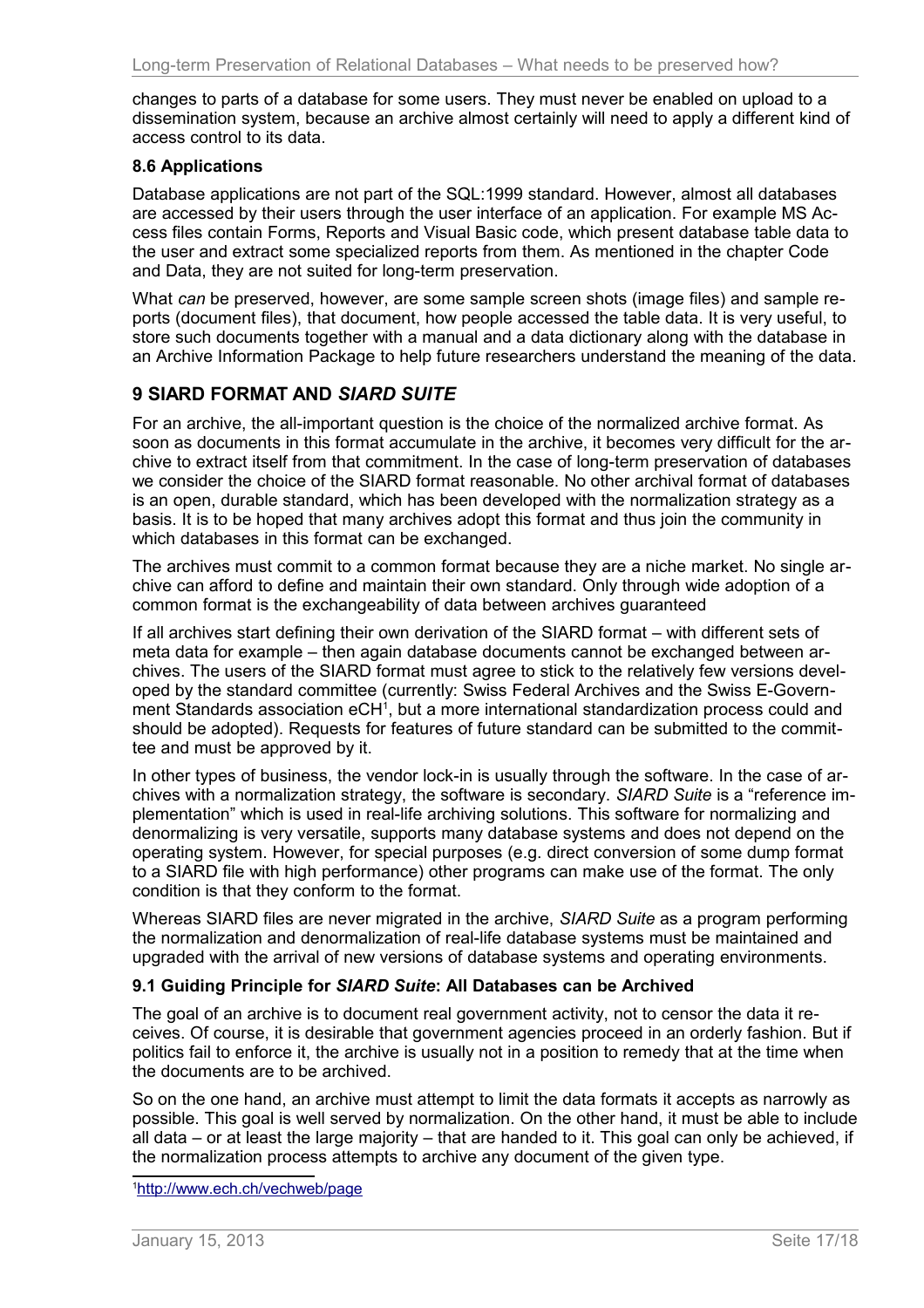changes to parts of a database for some users. They must never be enabled on upload to a dissemination system, because an archive almost certainly will need to apply a different kind of access control to its data.

## <span id="page-16-2"></span>**8.6 Applications**

Database applications are not part of the SQL:1999 standard. However, almost all databases are accessed by their users through the user interface of an application. For example MS Access files contain Forms, Reports and Visual Basic code, which present database table data to the user and extract some specialized reports from them. As mentioned in the chapter Code and Data, they are not suited for long-term preservation.

What *can* be preserved, however, are some sample screen shots (image files) and sample reports (document files), that document, how people accessed the table data. It is very useful, to store such documents together with a manual and a data dictionary along with the database in an Archive Information Package to help future researchers understand the meaning of the data.

# <span id="page-16-1"></span>**9 SIARD FORMAT AND** *SIARD SUITE*

For an archive, the all-important question is the choice of the normalized archive format. As soon as documents in this format accumulate in the archive, it becomes very difficult for the archive to extract itself from that commitment. In the case of long-term preservation of databases we consider the choice of the SIARD format reasonable. No other archival format of databases is an open, durable standard, which has been developed with the normalization strategy as a basis. It is to be hoped that many archives adopt this format and thus join the community in which databases in this format can be exchanged.

The archives must commit to a common format because they are a niche market. No single archive can afford to define and maintain their own standard. Only through wide adoption of a common format is the exchangeability of data between archives guaranteed

If all archives start defining their own derivation of the SIARD format – with different sets of meta data for example – then again database documents cannot be exchanged between archives. The users of the SIARD format must agree to stick to the relatively few versions developed by the standard committee (currently: Swiss Federal Archives and the Swiss E-Govern-ment Standards association eCH<sup>[1](#page-16-3)</sup>, but a more international standardization process could and should be adopted). Requests for features of future standard can be submitted to the committee and must be approved by it.

In other types of business, the vendor lock-in is usually through the software. In the case of archives with a normalization strategy, the software is secondary. *SIARD Suite* is a "reference implementation" which is used in real-life archiving solutions. This software for normalizing and denormalizing is very versatile, supports many database systems and does not depend on the operating system. However, for special purposes (e.g. direct conversion of some dump format to a SIARD file with high performance) other programs can make use of the format. The only condition is that they conform to the format.

Whereas SIARD files are never migrated in the archive, *SIARD Suite* as a program performing the normalization and denormalization of real-life database systems must be maintained and upgraded with the arrival of new versions of database systems and operating environments.

## <span id="page-16-0"></span>**9.1 Guiding Principle for** *SIARD Suite***: All Databases can be Archived**

The goal of an archive is to document real government activity, not to censor the data it receives. Of course, it is desirable that government agencies proceed in an orderly fashion. But if politics fail to enforce it, the archive is usually not in a position to remedy that at the time when the documents are to be archived.

So on the one hand, an archive must attempt to limit the data formats it accepts as narrowly as possible. This goal is well served by normalization. On the other hand, it must be able to include all data – or at least the large majority – that are handed to it. This goal can only be achieved, if the normalization process attempts to archive any document of the given type.

<span id="page-16-3"></span>1 <http://www.ech.ch/vechweb/page>